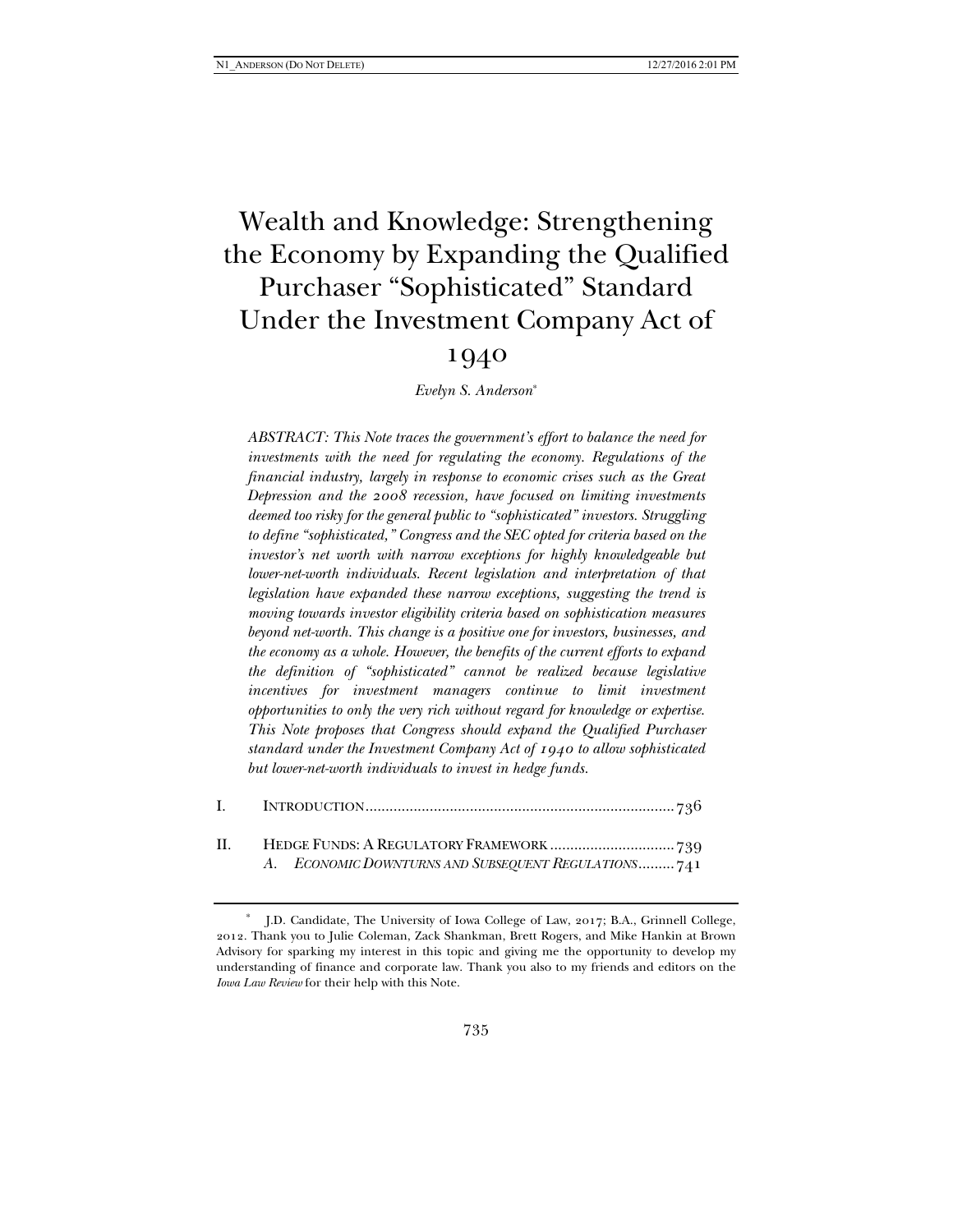# Wealth and Knowledge: Strengthening the Economy by Expanding the Qualified Purchaser "Sophisticated" Standard Under the Investment Company Act of

# 1940

*Evelyn S. Anderson*\*

*ABSTRACT: This Note traces the government's effort to balance the need for investments with the need for regulating the economy. Regulations of the financial industry, largely in response to economic crises such as the Great Depression and the 2008 recession, have focused on limiting investments deemed too risky for the general public to "sophisticated" investors. Struggling to define "sophisticated," Congress and the SEC opted for criteria based on the investor's net worth with narrow exceptions for highly knowledgeable but lower-net-worth individuals. Recent legislation and interpretation of that legislation have expanded these narrow exceptions, suggesting the trend is moving towards investor eligibility criteria based on sophistication measures beyond net-worth. This change is a positive one for investors, businesses, and the economy as a whole. However, the benefits of the current efforts to expand the definition of "sophisticated" cannot be realized because legislative incentives for investment managers continue to limit investment opportunities to only the very rich without regard for knowledge or expertise. This Note proposes that Congress should expand the Qualified Purchaser standard under the Investment Company Act of 1940 to allow sophisticated but lower-net-worth individuals to invest in hedge funds.* 

| A. ECONOMIC DOWNTURNS AND SUBSEQUENT REGULATIONS741 |
|-----------------------------------------------------|

<sup>\*</sup> J.D. Candidate, The University of Iowa College of Law, 2017; B.A., Grinnell College, 2012. Thank you to Julie Coleman, Zack Shankman, Brett Rogers, and Mike Hankin at Brown Advisory for sparking my interest in this topic and giving me the opportunity to develop my understanding of finance and corporate law. Thank you also to my friends and editors on the *Iowa Law Review* for their help with this Note.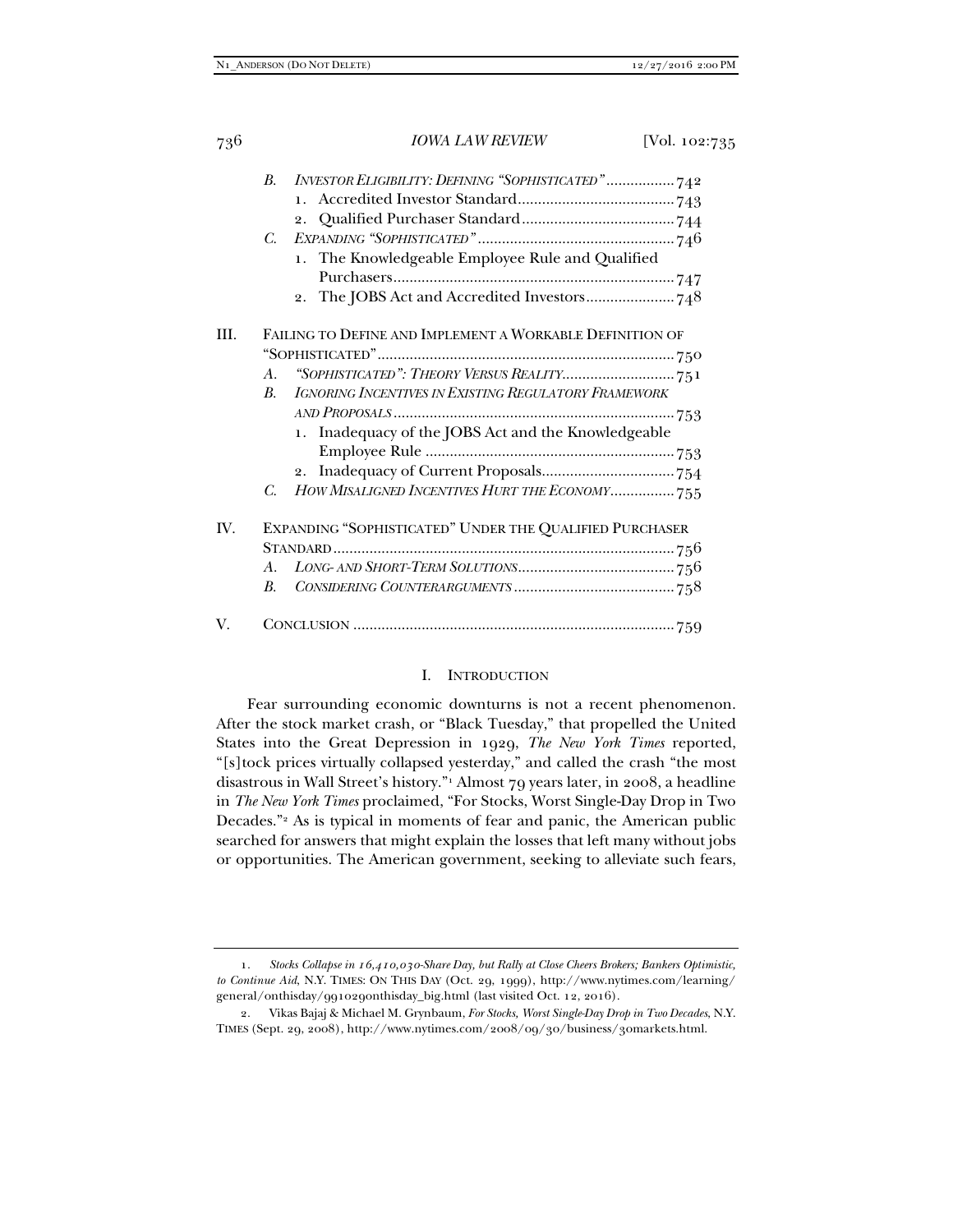|      | B.          | INVESTOR ELIGIBILITY: DEFINING "SOPHISTICATED"742        |  |
|------|-------------|----------------------------------------------------------|--|
|      |             |                                                          |  |
|      |             |                                                          |  |
|      | $C_{\cdot}$ |                                                          |  |
|      |             | 1. The Knowledgeable Employee Rule and Qualified         |  |
|      |             |                                                          |  |
|      |             |                                                          |  |
| III. |             | FAILING TO DEFINE AND IMPLEMENT A WORKABLE DEFINITION OF |  |
|      |             |                                                          |  |
|      |             |                                                          |  |
|      | $A_{\cdot}$ |                                                          |  |
|      | B.          | IGNORING INCENTIVES IN EXISTING REGULATORY FRAMEWORK     |  |
|      |             |                                                          |  |
|      |             | 1. Inadequacy of the JOBS Act and the Knowledgeable      |  |
|      |             |                                                          |  |
|      |             |                                                          |  |
|      | C.          | HOW MISALIGNED INCENTIVES HURT THE ECONOMY 755           |  |
| IV.  |             | EXPANDING "SOPHISTICATED" UNDER THE QUALIFIED PURCHASER  |  |
|      |             |                                                          |  |
|      | $A_{\cdot}$ |                                                          |  |
|      | В.          |                                                          |  |
| V.   |             |                                                          |  |
|      |             |                                                          |  |

#### I. INTRODUCTION

Fear surrounding economic downturns is not a recent phenomenon. After the stock market crash, or "Black Tuesday," that propelled the United States into the Great Depression in 1929, *The New York Times* reported, "[s]tock prices virtually collapsed yesterday," and called the crash "the most disastrous in Wall Street's history."1 Almost 79 years later, in 2008, a headline in *The New York Times* proclaimed, "For Stocks, Worst Single-Day Drop in Two Decades."2 As is typical in moments of fear and panic, the American public searched for answers that might explain the losses that left many without jobs or opportunities. The American government, seeking to alleviate such fears,

 <sup>1.</sup> *Stocks Collapse in 16,410,030-Share Day, but Rally at Close Cheers Brokers; Bankers Optimistic, to Continue Aid*, N.Y. TIMES: ON THIS DAY (Oct. 29, 1999), http://www.nytimes.com/learning/ general/onthisday/991029onthisday\_big.html (last visited Oct. 12, 2016).

 <sup>2.</sup> Vikas Bajaj & Michael M. Grynbaum, *For Stocks, Worst Single-Day Drop in Two Decades*, N.Y. TIMES (Sept. 29, 2008), http://www.nytimes.com/2008/09/30/business/30markets.html.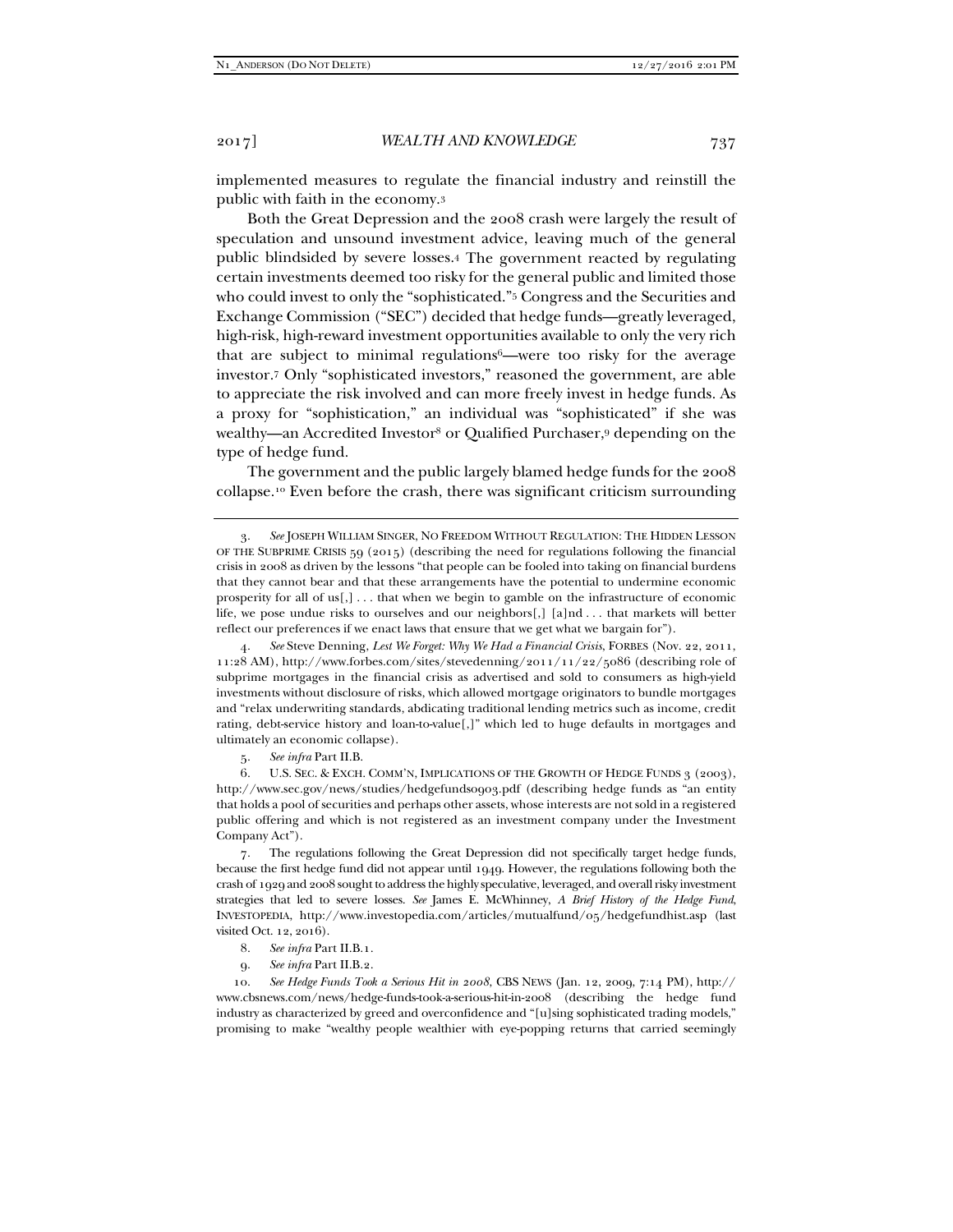implemented measures to regulate the financial industry and reinstill the public with faith in the economy.3

Both the Great Depression and the 2008 crash were largely the result of speculation and unsound investment advice, leaving much of the general public blindsided by severe losses.4 The government reacted by regulating certain investments deemed too risky for the general public and limited those who could invest to only the "sophisticated."<sup>5</sup> Congress and the Securities and Exchange Commission ("SEC") decided that hedge funds—greatly leveraged, high-risk, high-reward investment opportunities available to only the very rich that are subject to minimal regulations6—were too risky for the average investor.7 Only "sophisticated investors," reasoned the government, are able to appreciate the risk involved and can more freely invest in hedge funds. As a proxy for "sophistication," an individual was "sophisticated" if she was wealthy—an Accredited Investor<sup>8</sup> or Qualified Purchaser,<sup>9</sup> depending on the type of hedge fund.

The government and the public largely blamed hedge funds for the 2008 collapse.10 Even before the crash, there was significant criticism surrounding

 4. *See* Steve Denning, *Lest We Forget: Why We Had a Financial Crisis*, FORBES (Nov. 22, 2011, 11:28 AM), http://www.forbes.com/sites/stevedenning/2011/11/22/5086 (describing role of subprime mortgages in the financial crisis as advertised and sold to consumers as high-yield investments without disclosure of risks, which allowed mortgage originators to bundle mortgages and "relax underwriting standards, abdicating traditional lending metrics such as income, credit rating, debt-service history and loan-to-value[,]" which led to huge defaults in mortgages and ultimately an economic collapse).

5. *See infra* Part II.B.

6. U.S. SEC. & EXCH. COMM'N, IMPLICATIONS OF THE GROWTH OF HEDGE FUNDS 3 (2003), http://www.sec.gov/news/studies/hedgefunds0903.pdf (describing hedge funds as "an entity that holds a pool of securities and perhaps other assets, whose interests are not sold in a registered public offering and which is not registered as an investment company under the Investment Company Act").

 7. The regulations following the Great Depression did not specifically target hedge funds, because the first hedge fund did not appear until 1949. However, the regulations following both the crash of 1929 and 2008 sought to address the highly speculative, leveraged, and overall risky investment strategies that led to severe losses. *See* James E. McWhinney, *A Brief History of the Hedge Fund*, INVESTOPEDIA, http://www.investopedia.com/articles/mutualfund/05/hedgefundhist.asp (last visited Oct. 12, 2016).

- 8. *See infra* Part II.B.1.
- 9. *See infra* Part II.B.2.

 10. *See Hedge Funds Took a Serious Hit in 2008*, CBS NEWS (Jan. 12, 2009, 7:14 PM), http:// www.cbsnews.com/news/hedge-funds-took-a-serious-hit-in-2008 (describing the hedge fund industry as characterized by greed and overconfidence and "[u]sing sophisticated trading models," promising to make "wealthy people wealthier with eye-popping returns that carried seemingly

 <sup>3.</sup> *See* JOSEPH WILLIAM SINGER, NO FREEDOM WITHOUT REGULATION: THE HIDDEN LESSON OF THE SUBPRIME CRISIS  $59$  (2015) (describing the need for regulations following the financial crisis in 2008 as driven by the lessons "that people can be fooled into taking on financial burdens that they cannot bear and that these arrangements have the potential to undermine economic prosperity for all of us[,] . . . that when we begin to gamble on the infrastructure of economic life, we pose undue risks to ourselves and our neighbors[,] [a]nd . . . that markets will better reflect our preferences if we enact laws that ensure that we get what we bargain for").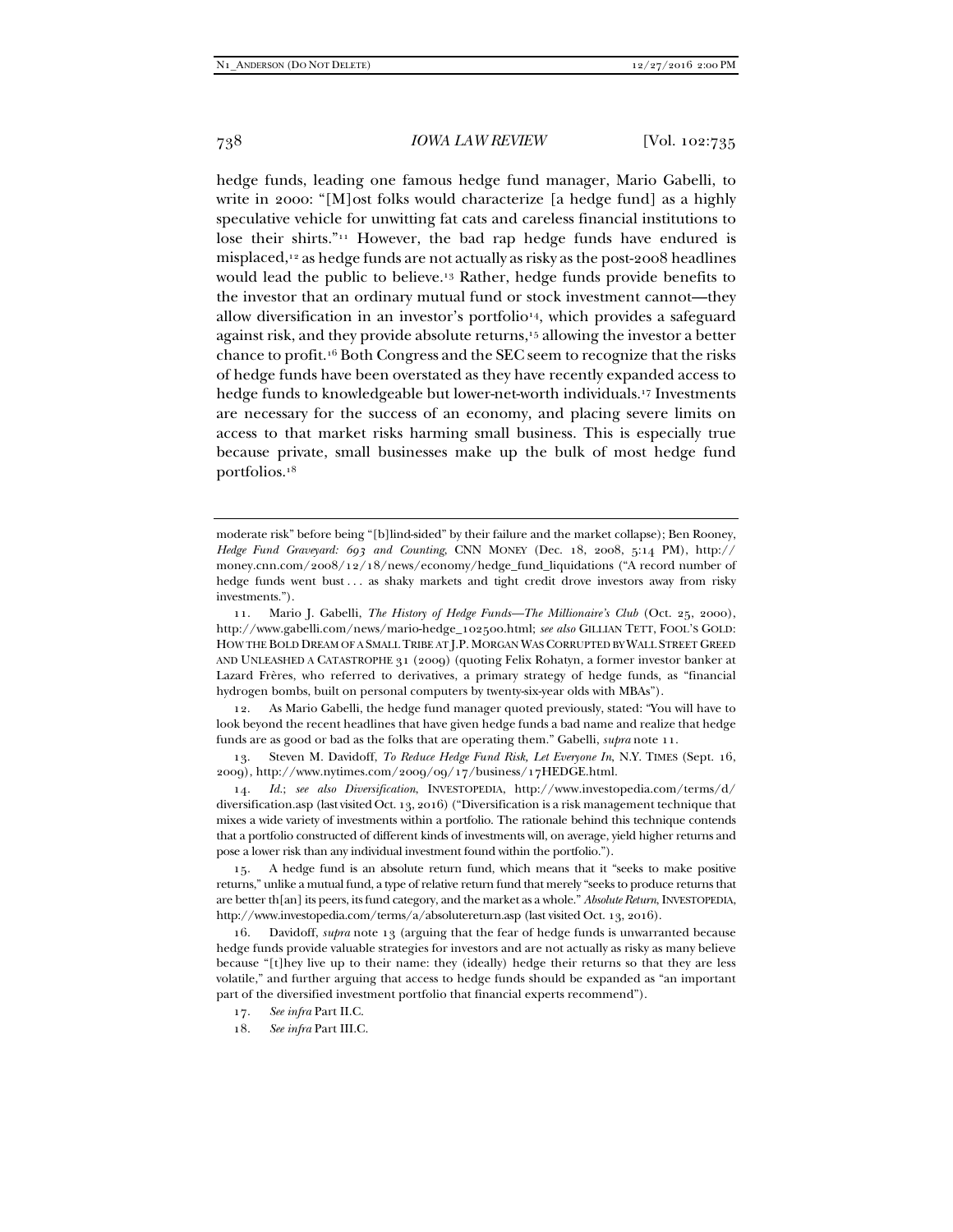hedge funds, leading one famous hedge fund manager, Mario Gabelli, to write in 2000: "[M]ost folks would characterize [a hedge fund] as a highly speculative vehicle for unwitting fat cats and careless financial institutions to lose their shirts."11 However, the bad rap hedge funds have endured is misplaced,12 as hedge funds are not actually as risky as the post-2008 headlines would lead the public to believe.13 Rather, hedge funds provide benefits to the investor that an ordinary mutual fund or stock investment cannot—they allow diversification in an investor's portfolio<sup>14</sup>, which provides a safeguard against risk, and they provide absolute returns,15 allowing the investor a better chance to profit.16 Both Congress and the SEC seem to recognize that the risks of hedge funds have been overstated as they have recently expanded access to hedge funds to knowledgeable but lower-net-worth individuals.17 Investments are necessary for the success of an economy, and placing severe limits on access to that market risks harming small business. This is especially true because private, small businesses make up the bulk of most hedge fund portfolios.18

 12. As Mario Gabelli, the hedge fund manager quoted previously, stated: "You will have to look beyond the recent headlines that have given hedge funds a bad name and realize that hedge funds are as good or bad as the folks that are operating them." Gabelli, *supra* note 11.

 13. Steven M. Davidoff, *To Reduce Hedge Fund Risk, Let Everyone In*, N.Y. TIMES (Sept. 16, 2009), http://www.nytimes.com/2009/09/17/business/17HEDGE.html.

 14. *Id.*; *see also Diversification*, INVESTOPEDIA, http://www.investopedia.com/terms/d/ diversification.asp (last visited Oct. 13, 2016) ("Diversification is a risk management technique that mixes a wide variety of investments within a portfolio. The rationale behind this technique contends that a portfolio constructed of different kinds of investments will, on average, yield higher returns and pose a lower risk than any individual investment found within the portfolio.").

 15. A hedge fund is an absolute return fund, which means that it "seeks to make positive returns," unlike a mutual fund, a type of relative return fund that merely "seeks to produce returns that are better th[an] its peers, its fund category, and the market as a whole." *Absolute Return*, INVESTOPEDIA, http://www.investopedia.com/terms/a/absolutereturn.asp (last visited Oct. 13, 2016).

 16. Davidoff, *supra* note 13 (arguing that the fear of hedge funds is unwarranted because hedge funds provide valuable strategies for investors and are not actually as risky as many believe because "[t]hey live up to their name: they (ideally) hedge their returns so that they are less volatile," and further arguing that access to hedge funds should be expanded as "an important part of the diversified investment portfolio that financial experts recommend").

18. *See infra* Part III.C.

moderate risk" before being "[b]lind-sided" by their failure and the market collapse); Ben Rooney, *Hedge Fund Graveyard: 693 and Counting*, CNN MONEY (Dec. 18, 2008, 5:14 PM), http:// money.cnn.com/2008/12/18/news/economy/hedge\_fund\_liquidations ("A record number of hedge funds went bust . . . as shaky markets and tight credit drove investors away from risky investments.").

 <sup>11.</sup> Mario J. Gabelli, *The History of Hedge Funds—The Millionaire's Club* (Oct. 25, 2000), http://www.gabelli.com/news/mario-hedge\_102500.html; *see also* GILLIAN TETT, FOOL'S GOLD: HOW THE BOLD DREAM OF A SMALL TRIBE AT J.P. MORGAN WAS CORRUPTED BY WALL STREET GREED AND UNLEASHED A CATASTROPHE 31 (2009) (quoting Felix Rohatyn, a former investor banker at Lazard Frères, who referred to derivatives, a primary strategy of hedge funds, as "financial hydrogen bombs, built on personal computers by twenty-six-year olds with MBAs").

 <sup>17.</sup> *See infra* Part II.C.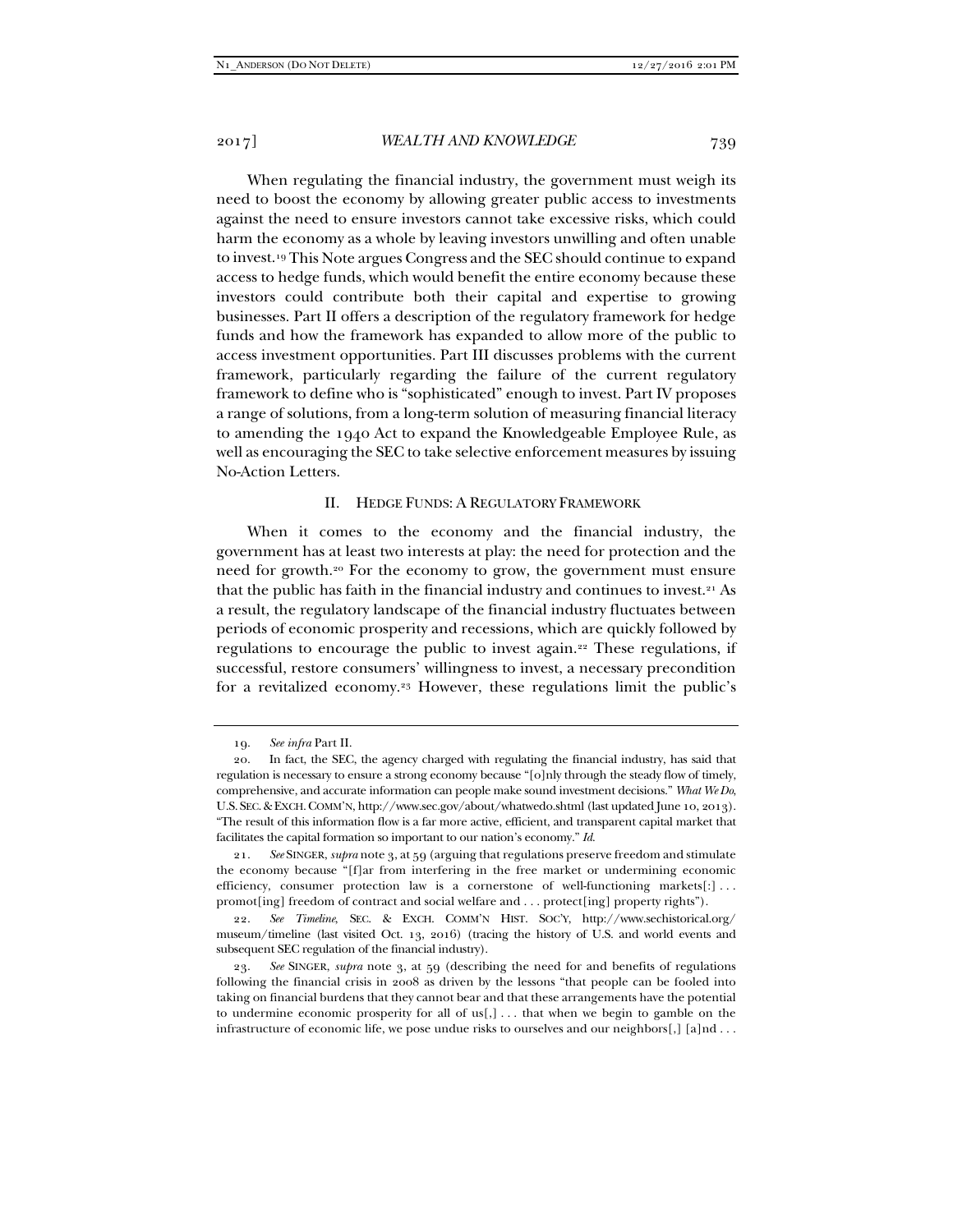When regulating the financial industry, the government must weigh its need to boost the economy by allowing greater public access to investments against the need to ensure investors cannot take excessive risks, which could harm the economy as a whole by leaving investors unwilling and often unable to invest.19 This Note argues Congress and the SEC should continue to expand access to hedge funds, which would benefit the entire economy because these investors could contribute both their capital and expertise to growing businesses. Part II offers a description of the regulatory framework for hedge funds and how the framework has expanded to allow more of the public to access investment opportunities. Part III discusses problems with the current framework, particularly regarding the failure of the current regulatory framework to define who is "sophisticated" enough to invest. Part IV proposes a range of solutions, from a long-term solution of measuring financial literacy to amending the 1940 Act to expand the Knowledgeable Employee Rule, as well as encouraging the SEC to take selective enforcement measures by issuing No-Action Letters.

# II. HEDGE FUNDS: A REGULATORY FRAMEWORK

When it comes to the economy and the financial industry, the government has at least two interests at play: the need for protection and the need for growth.20 For the economy to grow, the government must ensure that the public has faith in the financial industry and continues to invest.<sup>21</sup> As a result, the regulatory landscape of the financial industry fluctuates between periods of economic prosperity and recessions, which are quickly followed by regulations to encourage the public to invest again.22 These regulations, if successful, restore consumers' willingness to invest, a necessary precondition for a revitalized economy.23 However, these regulations limit the public's

 <sup>19.</sup> *See infra* Part II.

 <sup>20.</sup> In fact, the SEC, the agency charged with regulating the financial industry, has said that regulation is necessary to ensure a strong economy because "[o]nly through the steady flow of timely, comprehensive, and accurate information can people make sound investment decisions." *What We Do*, U.S. SEC.&EXCH.COMM'N, http://www.sec.gov/about/whatwedo.shtml (last updated June 10, 2013). "The result of this information flow is a far more active, efficient, and transparent capital market that facilitates the capital formation so important to our nation's economy." *Id.*

 <sup>21.</sup> *See* SINGER, *supra* note 3, at 59 (arguing that regulations preserve freedom and stimulate the economy because "[f]ar from interfering in the free market or undermining economic efficiency, consumer protection law is a cornerstone of well-functioning markets[:] . . . promot[ing] freedom of contract and social welfare and . . . protect[ing] property rights").

 <sup>22.</sup> *See Timeline*, SEC. & EXCH. COMM'N HIST. SOC'Y, http://www.sechistorical.org/ museum/timeline (last visited Oct. 13, 2016) (tracing the history of U.S. and world events and subsequent SEC regulation of the financial industry).

 <sup>23.</sup> *See* SINGER, *supra* note 3, at 59 (describing the need for and benefits of regulations following the financial crisis in 2008 as driven by the lessons "that people can be fooled into taking on financial burdens that they cannot bear and that these arrangements have the potential to undermine economic prosperity for all of us[,] . . . that when we begin to gamble on the infrastructure of economic life, we pose undue risks to ourselves and our neighbors[,] [a]nd . . .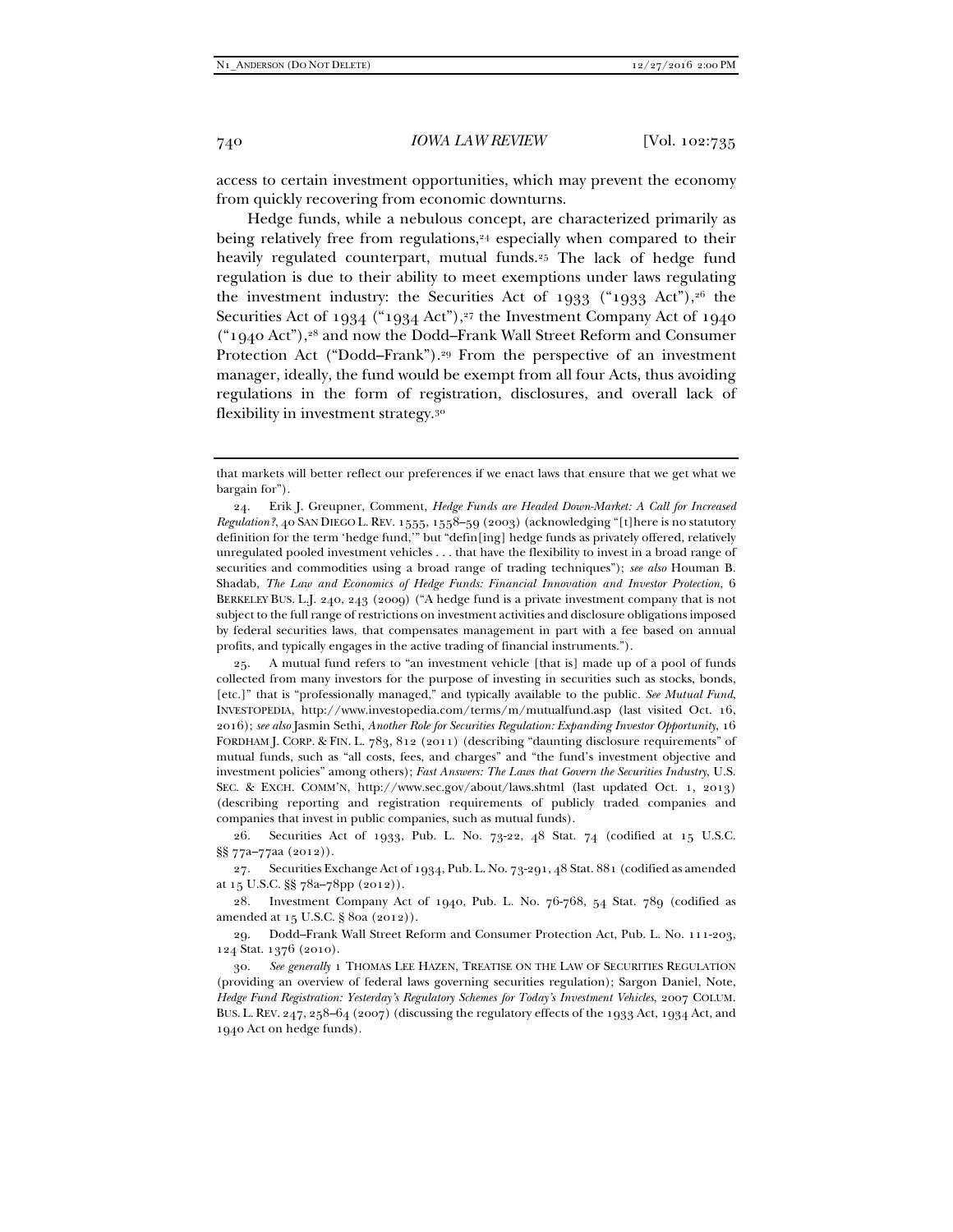access to certain investment opportunities, which may prevent the economy from quickly recovering from economic downturns.

Hedge funds, while a nebulous concept, are characterized primarily as being relatively free from regulations,<sup>24</sup> especially when compared to their heavily regulated counterpart, mutual funds.<sup>25</sup> The lack of hedge fund regulation is due to their ability to meet exemptions under laws regulating the investment industry: the Securities Act of 1933 ("1933 Act"), $2^6$  the Securities Act of 1934 ("1934 Act"),<sup>27</sup> the Investment Company Act of 1940 ("1940 Act"),28 and now the Dodd–Frank Wall Street Reform and Consumer Protection Act ("Dodd-Frank").<sup>29</sup> From the perspective of an investment manager, ideally, the fund would be exempt from all four Acts, thus avoiding regulations in the form of registration, disclosures, and overall lack of flexibility in investment strategy.30

that markets will better reflect our preferences if we enact laws that ensure that we get what we bargain for").

 <sup>24.</sup> Erik J. Greupner, Comment, *Hedge Funds are Headed Down-Market: A Call for Increased Regulation?*, 40 SAN DIEGO L. REV. 1555, 1558–59 (2003) (acknowledging "[t]here is no statutory definition for the term 'hedge fund,'" but "defin[ing] hedge funds as privately offered, relatively unregulated pooled investment vehicles . . . that have the flexibility to invest in a broad range of securities and commodities using a broad range of trading techniques"); *see also* Houman B. Shadab, *The Law and Economics of Hedge Funds: Financial Innovation and Investor Protection*, 6 BERKELEY BUS. L.J. 240, 243 (2009) ("A hedge fund is a private investment company that is not subject to the full range of restrictions on investment activities and disclosure obligations imposed by federal securities laws, that compensates management in part with a fee based on annual profits, and typically engages in the active trading of financial instruments.").

 <sup>25.</sup> A mutual fund refers to "an investment vehicle [that is] made up of a pool of funds collected from many investors for the purpose of investing in securities such as stocks, bonds, [etc.]" that is "professionally managed," and typically available to the public. *See Mutual Fund*, INVESTOPEDIA, http://www.investopedia.com/terms/m/mutualfund.asp (last visited Oct. 16, 2016); *see also* Jasmin Sethi, *Another Role for Securities Regulation: Expanding Investor Opportunity*, 16 FORDHAM J. CORP. & FIN. L. 783, 812 (2011) (describing "daunting disclosure requirements" of mutual funds, such as "all costs, fees, and charges" and "the fund's investment objective and investment policies" among others); *Fast Answers: The Laws that Govern the Securities Industry*, U.S. SEC. & EXCH. COMM'N, http://www.sec.gov/about/laws.shtml (last updated Oct. 1, 2013) (describing reporting and registration requirements of publicly traded companies and companies that invest in public companies, such as mutual funds).

 <sup>26.</sup> Securities Act of 1933, Pub. L. No. 73-22, 48 Stat. 74 (codified at 15 U.S.C. §§ 77a–77aa (2012)).

 <sup>27.</sup> Securities Exchange Act of 1934, Pub. L. No. 73-291, 48 Stat. 881 (codified as amended at 15 U.S.C. §§ 78a–78pp (2012)).

 <sup>28.</sup> Investment Company Act of 1940, Pub. L. No. 76-768, 54 Stat. 789 (codified as amended at 15 U.S.C. § 80a (2012)).

 <sup>29.</sup> Dodd–Frank Wall Street Reform and Consumer Protection Act, Pub. L. No. 111-203, 124 Stat. 1376 (2010).

 <sup>30.</sup> *See generally* 1 THOMAS LEE HAZEN, TREATISE ON THE LAW OF SECURITIES REGULATION (providing an overview of federal laws governing securities regulation); Sargon Daniel, Note, *Hedge Fund Registration: Yesterday's Regulatory Schemes for Today's Investment Vehicles*, 2007 COLUM. BUS. L. REV. 247, 258–64 (2007) (discussing the regulatory effects of the 1933 Act, 1934 Act, and 1940 Act on hedge funds).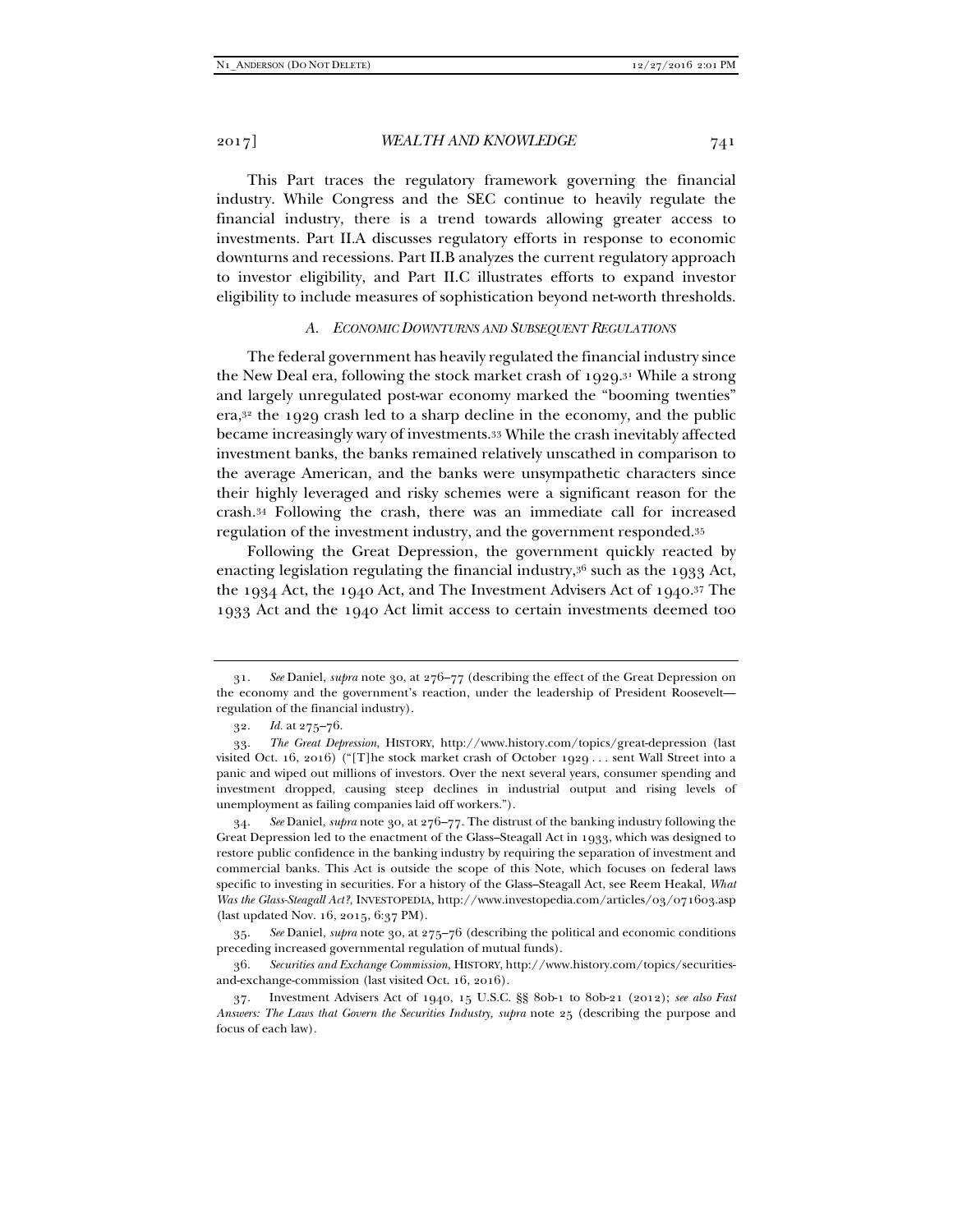This Part traces the regulatory framework governing the financial industry. While Congress and the SEC continue to heavily regulate the financial industry, there is a trend towards allowing greater access to investments. Part II.A discusses regulatory efforts in response to economic downturns and recessions. Part II.B analyzes the current regulatory approach to investor eligibility, and Part II.C illustrates efforts to expand investor eligibility to include measures of sophistication beyond net-worth thresholds.

#### *A. ECONOMIC DOWNTURNS AND SUBSEQUENT REGULATIONS*

The federal government has heavily regulated the financial industry since the New Deal era, following the stock market crash of  $1929$ .<sup>31</sup> While a strong and largely unregulated post-war economy marked the "booming twenties" era,32 the 1929 crash led to a sharp decline in the economy, and the public became increasingly wary of investments.33 While the crash inevitably affected investment banks, the banks remained relatively unscathed in comparison to the average American, and the banks were unsympathetic characters since their highly leveraged and risky schemes were a significant reason for the crash.34 Following the crash, there was an immediate call for increased regulation of the investment industry, and the government responded.35

Following the Great Depression, the government quickly reacted by enacting legislation regulating the financial industry, $36$  such as the 1933 Act, the 1934 Act, the 1940 Act, and The Investment Advisers Act of 1940.37 The 1933 Act and the 1940 Act limit access to certain investments deemed too

 <sup>31.</sup> *See* Daniel, *supra* note 30, at 276–77 (describing the effect of the Great Depression on the economy and the government's reaction, under the leadership of President Roosevelt regulation of the financial industry).

 <sup>32.</sup> *Id.* at 275–76.

 <sup>33.</sup> *The Great Depression*, HISTORY, http://www.history.com/topics/great-depression (last visited Oct. 16, 2016) ("[T]he stock market crash of October 1929 . . . sent Wall Street into a panic and wiped out millions of investors. Over the next several years, consumer spending and investment dropped, causing steep declines in industrial output and rising levels of unemployment as failing companies laid off workers.").

 <sup>34.</sup> *See* Daniel, *supra* note 30, at 276–77. The distrust of the banking industry following the Great Depression led to the enactment of the Glass–Steagall Act in 1933, which was designed to restore public confidence in the banking industry by requiring the separation of investment and commercial banks. This Act is outside the scope of this Note, which focuses on federal laws specific to investing in securities. For a history of the Glass–Steagall Act, see Reem Heakal, *What Was the Glass-Steagall Act?*, INVESTOPEDIA, http://www.investopedia.com/articles/03/071603.asp (last updated Nov. 16, 2015, 6:37 PM).

 <sup>35.</sup> *See* Daniel, *supra* note 30, at 275–76 (describing the political and economic conditions preceding increased governmental regulation of mutual funds).

 <sup>36.</sup> *Securities and Exchange Commission*, HISTORY, http://www.history.com/topics/securitiesand-exchange-commission (last visited Oct. 16, 2016).

 <sup>37.</sup> Investment Advisers Act of 1940, 15 U.S.C. §§ 80b-1 to 80b-21 (2012); *see also Fast Answers: The Laws that Govern the Securities Industry, supra* note 25 (describing the purpose and focus of each law).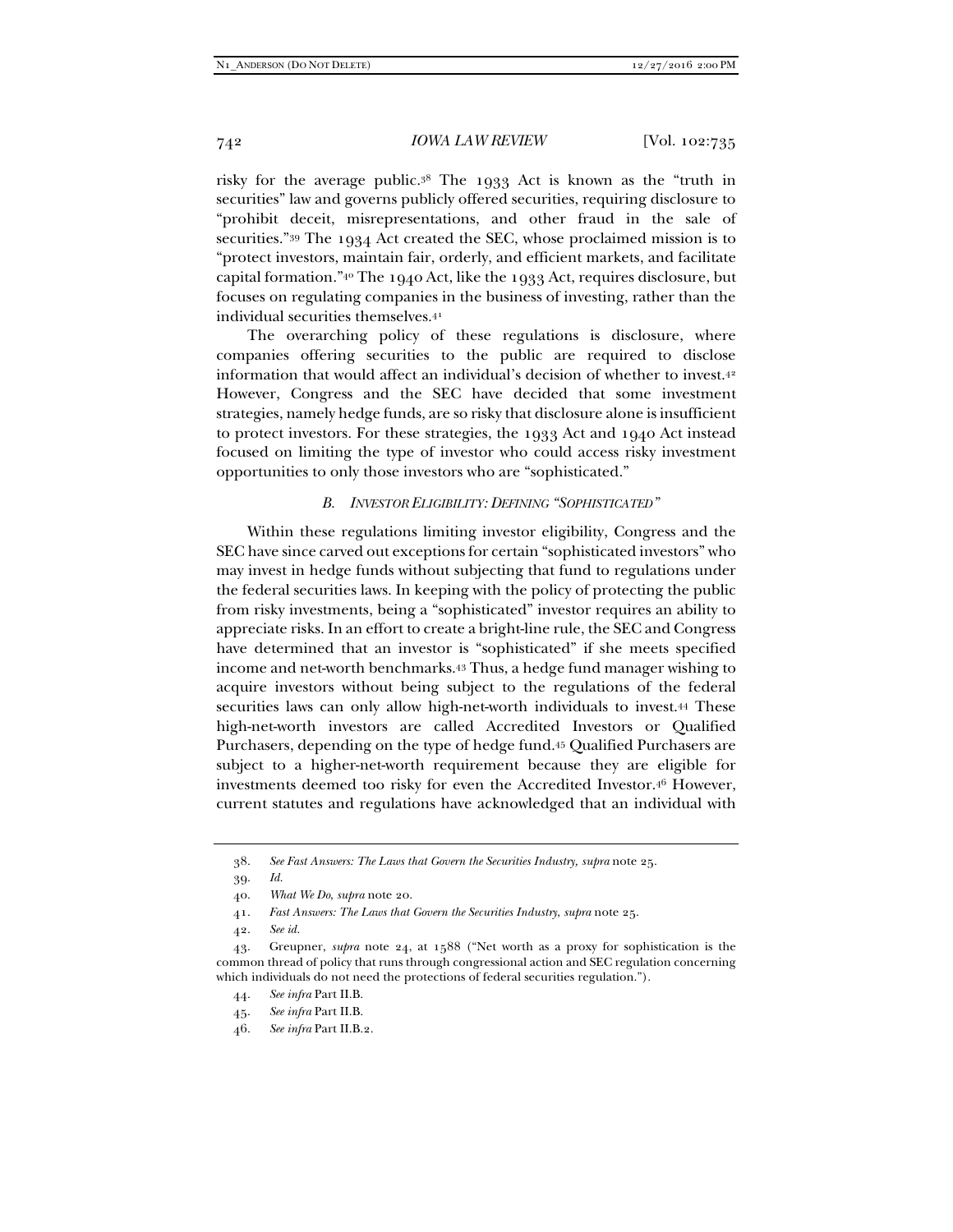risky for the average public.38 The 1933 Act is known as the "truth in securities" law and governs publicly offered securities, requiring disclosure to "prohibit deceit, misrepresentations, and other fraud in the sale of securities."39 The 1934 Act created the SEC, whose proclaimed mission is to "protect investors, maintain fair, orderly, and efficient markets, and facilitate capital formation."40 The 1940 Act, like the 1933 Act, requires disclosure, but focuses on regulating companies in the business of investing, rather than the individual securities themselves.41

The overarching policy of these regulations is disclosure, where companies offering securities to the public are required to disclose information that would affect an individual's decision of whether to invest.42 However, Congress and the SEC have decided that some investment strategies, namely hedge funds, are so risky that disclosure alone is insufficient to protect investors. For these strategies, the 1933 Act and 1940 Act instead focused on limiting the type of investor who could access risky investment opportunities to only those investors who are "sophisticated."

## *B. INVESTOR ELIGIBILITY: DEFINING "SOPHISTICATED"*

Within these regulations limiting investor eligibility, Congress and the SEC have since carved out exceptions for certain "sophisticated investors" who may invest in hedge funds without subjecting that fund to regulations under the federal securities laws. In keeping with the policy of protecting the public from risky investments, being a "sophisticated" investor requires an ability to appreciate risks. In an effort to create a bright-line rule, the SEC and Congress have determined that an investor is "sophisticated" if she meets specified income and net-worth benchmarks.43 Thus, a hedge fund manager wishing to acquire investors without being subject to the regulations of the federal securities laws can only allow high-net-worth individuals to invest.44 These high-net-worth investors are called Accredited Investors or Qualified Purchasers, depending on the type of hedge fund.45 Qualified Purchasers are subject to a higher-net-worth requirement because they are eligible for investments deemed too risky for even the Accredited Investor.46 However, current statutes and regulations have acknowledged that an individual with

 <sup>38.</sup> *See Fast Answers: The Laws that Govern the Securities Industry, supra* note 25.

 <sup>39.</sup> *Id.*

 <sup>40.</sup> *What We Do*, *supra* note 20.

 <sup>41.</sup> *Fast Answers: The Laws that Govern the Securities Industry*, *supra* note 25.

 <sup>42.</sup> *See id.*

 <sup>43.</sup> Greupner, *supra* note 24, at 1588 ("Net worth as a proxy for sophistication is the common thread of policy that runs through congressional action and SEC regulation concerning which individuals do not need the protections of federal securities regulation.").

 <sup>44.</sup> *See infra* Part II.B.

 <sup>45.</sup> *See infra* Part II.B.

 <sup>46.</sup> *See infra* Part II.B.2.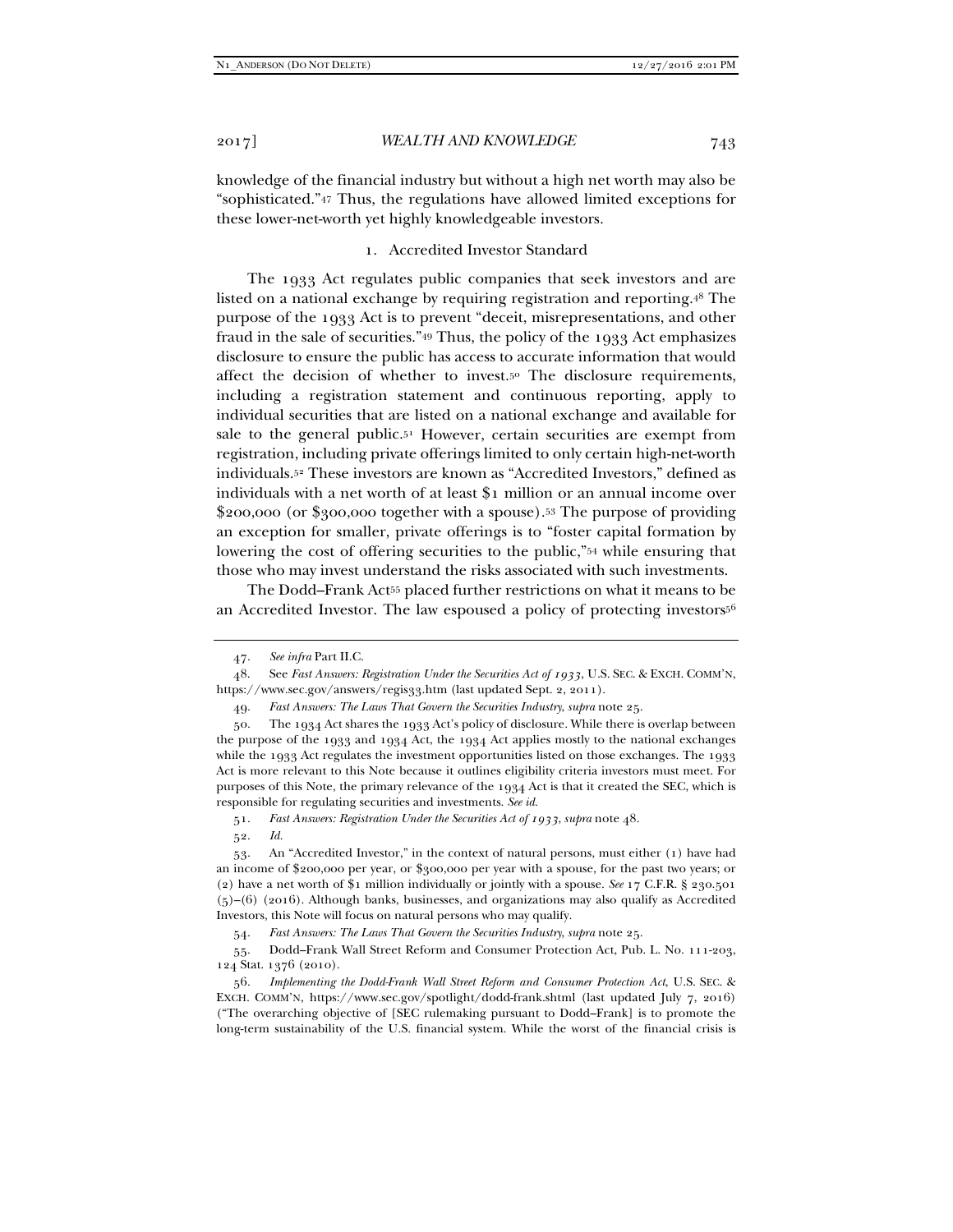knowledge of the financial industry but without a high net worth may also be "sophisticated."47 Thus, the regulations have allowed limited exceptions for these lower-net-worth yet highly knowledgeable investors.

# 1. Accredited Investor Standard

The 1933 Act regulates public companies that seek investors and are listed on a national exchange by requiring registration and reporting.48 The purpose of the 1933 Act is to prevent "deceit, misrepresentations, and other fraud in the sale of securities."49 Thus, the policy of the 1933 Act emphasizes disclosure to ensure the public has access to accurate information that would affect the decision of whether to invest.50 The disclosure requirements, including a registration statement and continuous reporting, apply to individual securities that are listed on a national exchange and available for sale to the general public. $5<sup>1</sup>$  However, certain securities are exempt from registration, including private offerings limited to only certain high-net-worth individuals.52 These investors are known as "Accredited Investors," defined as individuals with a net worth of at least \$1 million or an annual income over \$200,000 (or \$300,000 together with a spouse).53 The purpose of providing an exception for smaller, private offerings is to "foster capital formation by lowering the cost of offering securities to the public,"54 while ensuring that those who may invest understand the risks associated with such investments.

The Dodd–Frank Act<sup>55</sup> placed further restrictions on what it means to be an Accredited Investor. The law espoused a policy of protecting investors<sup>56</sup>

51. *Fast Answers: Registration Under the Securities Act of 1933*, *supra* note 48.

52. *Id.*

54. *Fast Answers: The Laws That Govern the Securities Industry*, *supra* note 25.

 55. Dodd–Frank Wall Street Reform and Consumer Protection Act, Pub. L. No. 111-203, 124 Stat. 1376 (2010).

 <sup>47.</sup> *See infra* Part II.C.

 <sup>48.</sup> See *Fast Answers: Registration Under the Securities Act of 1933*, U.S. SEC. & EXCH. COMM'N, https://www.sec.gov/answers/regis33.htm (last updated Sept. 2, 2011).

 <sup>49.</sup> *Fast Answers: The Laws That Govern the Securities Industry*, *supra* note 25.

 <sup>50.</sup> The 1934 Act shares the 1933 Act's policy of disclosure. While there is overlap between the purpose of the 1933 and 1934 Act, the 1934 Act applies mostly to the national exchanges while the 1933 Act regulates the investment opportunities listed on those exchanges. The 1933 Act is more relevant to this Note because it outlines eligibility criteria investors must meet. For purposes of this Note, the primary relevance of the 1934 Act is that it created the SEC, which is responsible for regulating securities and investments. *See id.*

 <sup>53.</sup> An "Accredited Investor," in the context of natural persons, must either (1) have had an income of \$200,000 per year, or \$300,000 per year with a spouse, for the past two years; or (2) have a net worth of \$1 million individually or jointly with a spouse. *See* 17 C.F.R. § 230.501  $(5)-(6)$  (2016). Although banks, businesses, and organizations may also qualify as Accredited Investors, this Note will focus on natural persons who may qualify.

 <sup>56.</sup> *Implementing the Dodd-Frank Wall Street Reform and Consumer Protection Act*, U.S. SEC. & EXCH. COMM'N, https://www.sec.gov/spotlight/dodd-frank.shtml (last updated July 7, 2016) ("The overarching objective of [SEC rulemaking pursuant to Dodd–Frank] is to promote the long-term sustainability of the U.S. financial system. While the worst of the financial crisis is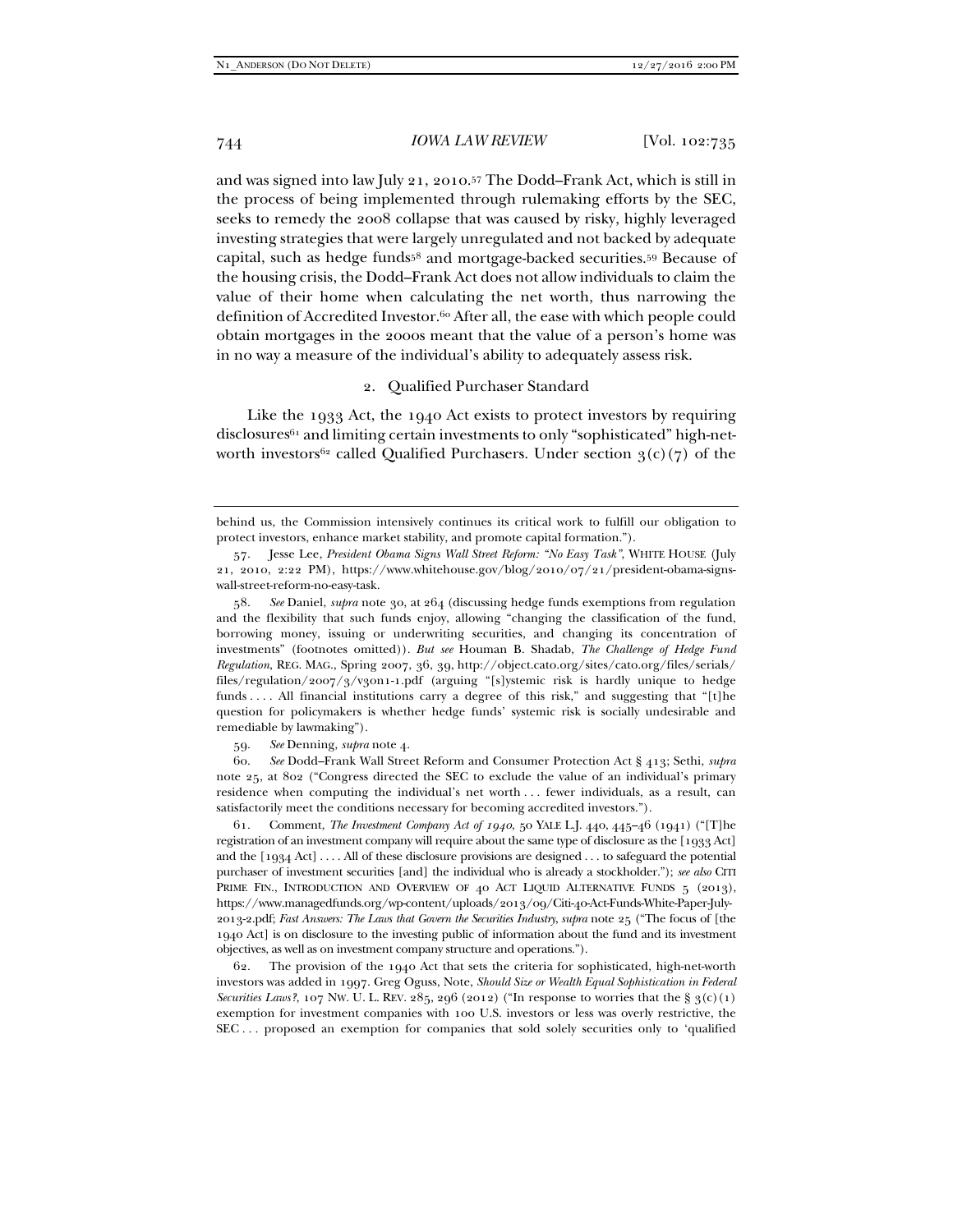and was signed into law July 21, 2010.<sup>57</sup> The Dodd–Frank Act, which is still in the process of being implemented through rulemaking efforts by the SEC, seeks to remedy the 2008 collapse that was caused by risky, highly leveraged investing strategies that were largely unregulated and not backed by adequate capital, such as hedge funds58 and mortgage-backed securities.59 Because of the housing crisis, the Dodd–Frank Act does not allow individuals to claim the value of their home when calculating the net worth, thus narrowing the definition of Accredited Investor.60 After all, the ease with which people could obtain mortgages in the 2000s meant that the value of a person's home was in no way a measure of the individual's ability to adequately assess risk.

# 2. Qualified Purchaser Standard

Like the 1933 Act, the 1940 Act exists to protect investors by requiring  $disclosures<sup>61</sup>$  and limiting certain investments to only "sophisticated" high-networth investors<sup>62</sup> called Qualified Purchasers. Under section  $3(c)(7)$  of the

 58. *See* Daniel, *supra* note 30, at 264 (discussing hedge funds exemptions from regulation and the flexibility that such funds enjoy, allowing "changing the classification of the fund, borrowing money, issuing or underwriting securities, and changing its concentration of investments" (footnotes omitted)). *But see* Houman B. Shadab, *The Challenge of Hedge Fund Regulation*, REG. MAG., Spring 2007, 36, 39, http://object.cato.org/sites/cato.org/files/serials/ files/regulation/2007/3/v30n1-1.pdf (arguing "[s]ystemic risk is hardly unique to hedge funds . . . . All financial institutions carry a degree of this risk," and suggesting that "[t]he question for policymakers is whether hedge funds' systemic risk is socially undesirable and remediable by lawmaking").

59. *See* Denning, *supra* note 4.

 60. *See* Dodd–Frank Wall Street Reform and Consumer Protection Act § 413; Sethi, *supra* note 25, at 802 ("Congress directed the SEC to exclude the value of an individual's primary residence when computing the individual's net worth . . . fewer individuals, as a result, can satisfactorily meet the conditions necessary for becoming accredited investors.").

 61. Comment, *The Investment Company Act of 1940*, 50 YALE L.J. 440, 445–46 (1941) ("[T]he registration of an investment company will require about the same type of disclosure as the [1933 Act] and the [1934 Act] . . . . All of these disclosure provisions are designed . . . to safeguard the potential purchaser of investment securities [and] the individual who is already a stockholder."); *see also* CITI PRIME FIN., INTRODUCTION AND OVERVIEW OF 40 ACT LIQUID ALTERNATIVE FUNDS 5 (2013), https://www.managedfunds.org/wp-content/uploads/2013/09/Citi-40-Act-Funds-White-Paper-July-2013-2.pdf; *Fast Answers: The Laws that Govern the Securities Industry*, *supra* note 25 ("The focus of [the 1940 Act] is on disclosure to the investing public of information about the fund and its investment objectives, as well as on investment company structure and operations.").

 62. The provision of the 1940 Act that sets the criteria for sophisticated, high-net-worth investors was added in 1997. Greg Oguss, Note, *Should Size or Wealth Equal Sophistication in Federal Securities Laws?*, 107 NW. U. L. REV. 285, 296 (2012) ("In response to worries that the §  $3(c)(1)$ exemption for investment companies with 100 U.S. investors or less was overly restrictive, the SEC . . . proposed an exemption for companies that sold solely securities only to 'qualified

behind us, the Commission intensively continues its critical work to fulfill our obligation to protect investors, enhance market stability, and promote capital formation.").

 <sup>57.</sup> Jesse Lee, *President Obama Signs Wall Street Reform: "No Easy Task"*, WHITE HOUSE (July 21, 2010, 2:22 PM), https://www.whitehouse.gov/blog/2010/07/21/president-obama-signswall-street-reform-no-easy-task.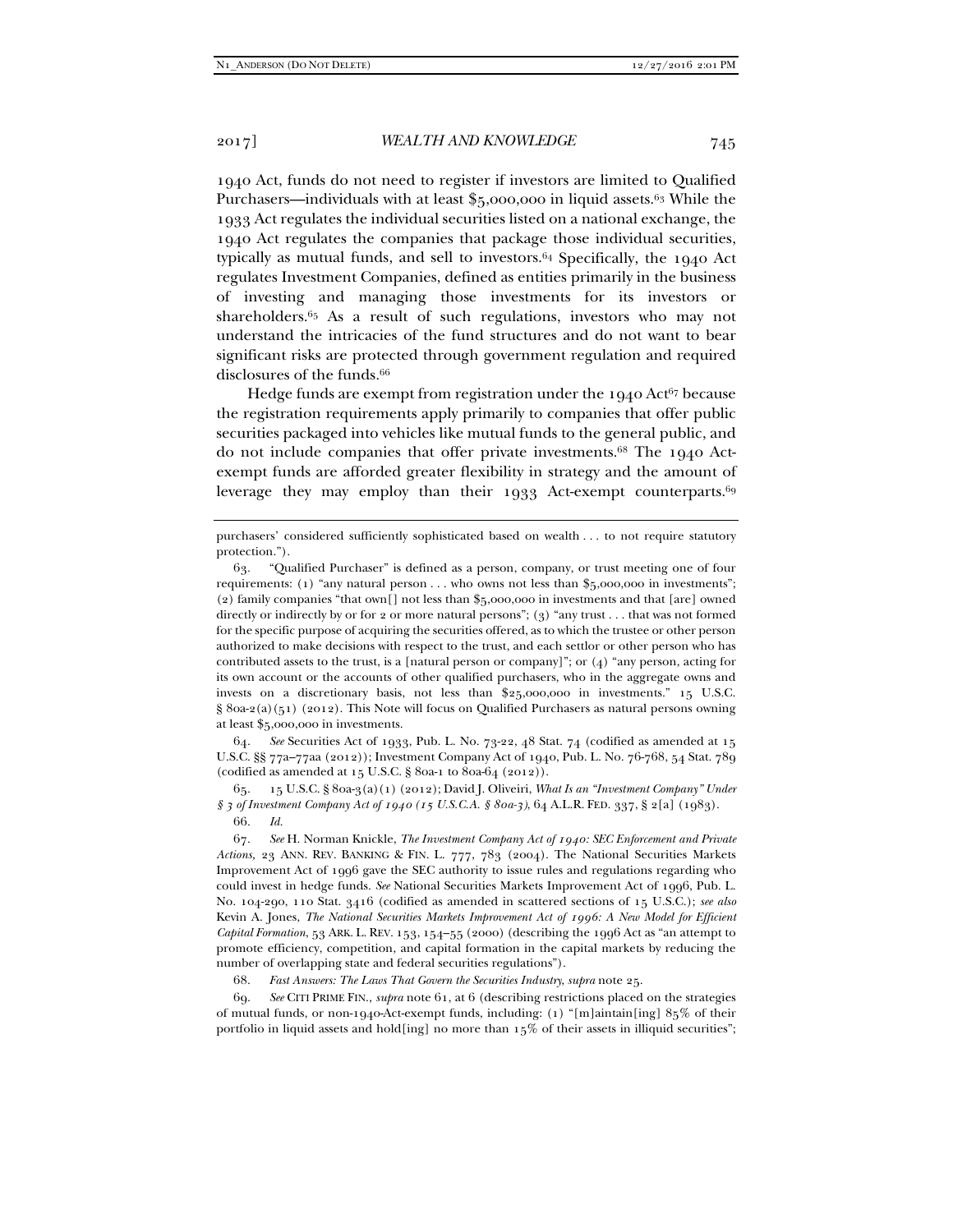1940 Act, funds do not need to register if investors are limited to Qualified Purchasers—individuals with at least  $\frac{1}{2}5,000,000$  in liquid assets.<sup>63</sup> While the 1933 Act regulates the individual securities listed on a national exchange, the 1940 Act regulates the companies that package those individual securities, typically as mutual funds, and sell to investors.64 Specifically, the 1940 Act regulates Investment Companies, defined as entities primarily in the business of investing and managing those investments for its investors or shareholders.65 As a result of such regulations, investors who may not understand the intricacies of the fund structures and do not want to bear significant risks are protected through government regulation and required disclosures of the funds.<sup>66</sup>

Hedge funds are exempt from registration under the  $1940$  Act<sup>67</sup> because the registration requirements apply primarily to companies that offer public securities packaged into vehicles like mutual funds to the general public, and do not include companies that offer private investments.68 The 1940 Actexempt funds are afforded greater flexibility in strategy and the amount of leverage they may employ than their 1933 Act-exempt counterparts.<sup>69</sup>

 64. *See* Securities Act of 1933, Pub. L. No. 73-22, 48 Stat. 74 (codified as amended at 15 U.S.C. §§ 77a–77aa (2012)); Investment Company Act of 1940, Pub. L. No. 76-768, 54 Stat. 789 (codified as amended at 15 U.S.C. § 80a-1 to 80a-64 (2012)).

 65. 15 U.S.C. § 80a-3(a)(1) (2012); David J. Oliveiri, *What Is an "Investment Company" Under § 3 of Investment Company Act of 1940 (15 U.S.C.A. § 80a-3)*, 64 A.L.R. FED. 337, § 2[a] (1983). 66. *Id.*

68. *Fast Answers: The Laws That Govern the Securities Industry*, *supra* note 25.

 69. *See* CITI PRIME FIN., *supra* note 61, at 6 (describing restrictions placed on the strategies of mutual funds, or non-1940-Act-exempt funds, including: (1) "[m]aintain[ing] 85% of their portfolio in liquid assets and hold[ing] no more than 15% of their assets in illiquid securities";

purchasers' considered sufficiently sophisticated based on wealth . . . to not require statutory protection.").

 <sup>63. &</sup>quot;Qualified Purchaser" is defined as a person, company, or trust meeting one of four requirements: (1) "any natural person . . . who owns not less than \$5,000,000 in investments"; (2) family companies "that own[] not less than \$5,000,000 in investments and that [are] owned directly or indirectly by or for 2 or more natural persons"; (3) "any trust . . . that was not formed for the specific purpose of acquiring the securities offered, as to which the trustee or other person authorized to make decisions with respect to the trust, and each settlor or other person who has contributed assets to the trust, is a [natural person or company]"; or  $(4)$  "any person, acting for its own account or the accounts of other qualified purchasers, who in the aggregate owns and invests on a discretionary basis, not less than \$25,000,000 in investments." 15 U.S.C.  $\S$  80a-2(a)(51) (2012). This Note will focus on Qualified Purchasers as natural persons owning at least \$5,000,000 in investments.

 <sup>67.</sup> *See* H. Norman Knickle, *The Investment Company Act of 1940: SEC Enforcement and Private Actions,* 23 ANN. REV. BANKING & FIN. L. 777, 783 (2004). The National Securities Markets Improvement Act of 1996 gave the SEC authority to issue rules and regulations regarding who could invest in hedge funds. *See* National Securities Markets Improvement Act of 1996, Pub. L. No. 104-290, 110 Stat. 3416 (codified as amended in scattered sections of 15 U.S.C.); *see also*  Kevin A. Jones, *The National Securities Markets Improvement Act of 1996: A New Model for Efficient Capital Formation*, 53 ARK. L. REV. 153, 154–55 (2000) (describing the 1996 Act as "an attempt to promote efficiency, competition, and capital formation in the capital markets by reducing the number of overlapping state and federal securities regulations").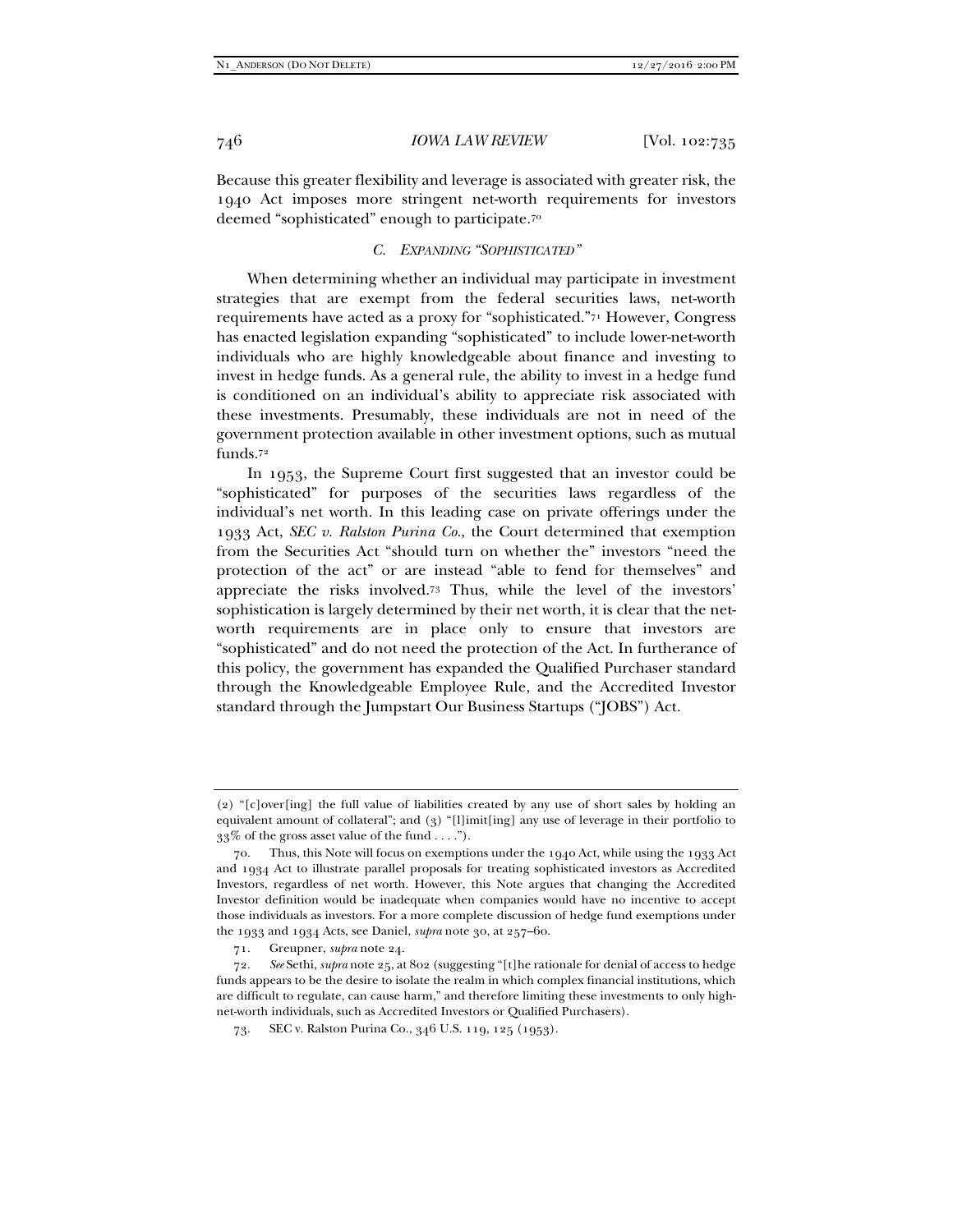Because this greater flexibility and leverage is associated with greater risk, the 1940 Act imposes more stringent net-worth requirements for investors deemed "sophisticated" enough to participate.70

# *C. EXPANDING "SOPHISTICATED"*

When determining whether an individual may participate in investment strategies that are exempt from the federal securities laws, net-worth requirements have acted as a proxy for "sophisticated."71 However, Congress has enacted legislation expanding "sophisticated" to include lower-net-worth individuals who are highly knowledgeable about finance and investing to invest in hedge funds. As a general rule, the ability to invest in a hedge fund is conditioned on an individual's ability to appreciate risk associated with these investments. Presumably, these individuals are not in need of the government protection available in other investment options, such as mutual funds.72

In 1953, the Supreme Court first suggested that an investor could be "sophisticated" for purposes of the securities laws regardless of the individual's net worth. In this leading case on private offerings under the 1933 Act, *SEC v. Ralston Purina Co.*, the Court determined that exemption from the Securities Act "should turn on whether the" investors "need the protection of the act" or are instead "able to fend for themselves" and appreciate the risks involved.73 Thus, while the level of the investors' sophistication is largely determined by their net worth, it is clear that the networth requirements are in place only to ensure that investors are "sophisticated" and do not need the protection of the Act. In furtherance of this policy, the government has expanded the Qualified Purchaser standard through the Knowledgeable Employee Rule, and the Accredited Investor standard through the Jumpstart Our Business Startups ("JOBS") Act.

<sup>(2) &</sup>quot;[c]over[ing] the full value of liabilities created by any use of short sales by holding an equivalent amount of collateral"; and (3) "[l]imit[ing] any use of leverage in their portfolio to  $33\%$  of the gross asset value of the fund . . . .").

Thus, this Note will focus on exemptions under the  $1940$  Act, while using the  $1933$  Act and 1934 Act to illustrate parallel proposals for treating sophisticated investors as Accredited Investors, regardless of net worth. However, this Note argues that changing the Accredited Investor definition would be inadequate when companies would have no incentive to accept those individuals as investors. For a more complete discussion of hedge fund exemptions under the 1933 and 1934 Acts, see Daniel, *supra* note 30, at 257–60.

 <sup>71.</sup> Greupner, *supra* note 24.

 <sup>72.</sup> *See* Sethi, *supra* note 25, at 802 (suggesting "[t]he rationale for denial of access to hedge funds appears to be the desire to isolate the realm in which complex financial institutions, which are difficult to regulate, can cause harm," and therefore limiting these investments to only highnet-worth individuals, such as Accredited Investors or Qualified Purchasers).

 <sup>73.</sup> SEC v. Ralston Purina Co., 346 U.S. 119, 125 (1953).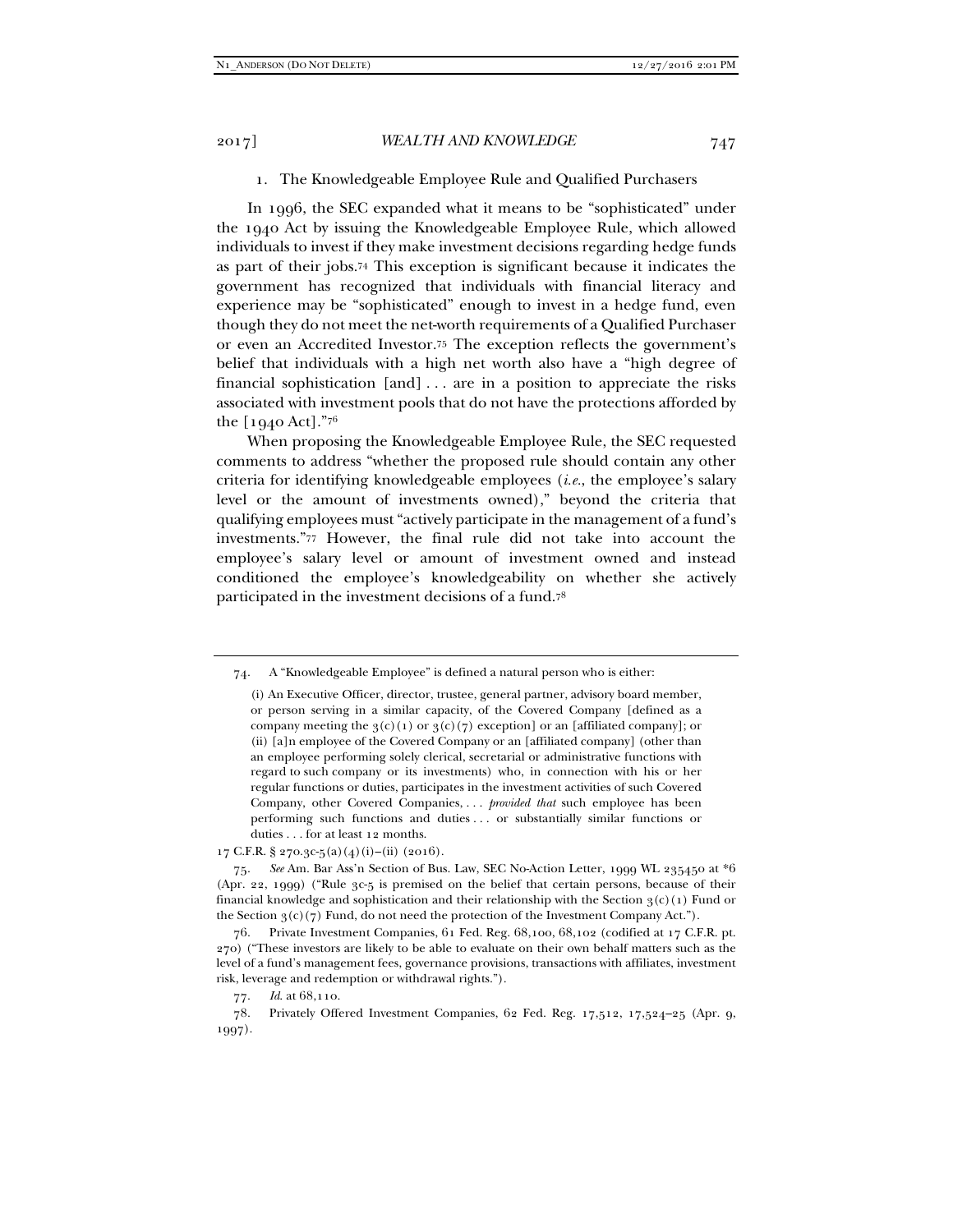# 1. The Knowledgeable Employee Rule and Qualified Purchasers

In 1996, the SEC expanded what it means to be "sophisticated" under the 1940 Act by issuing the Knowledgeable Employee Rule, which allowed individuals to invest if they make investment decisions regarding hedge funds as part of their jobs.74 This exception is significant because it indicates the government has recognized that individuals with financial literacy and experience may be "sophisticated" enough to invest in a hedge fund, even though they do not meet the net-worth requirements of a Qualified Purchaser or even an Accredited Investor.75 The exception reflects the government's belief that individuals with a high net worth also have a "high degree of financial sophistication [and] . . . are in a position to appreciate the risks associated with investment pools that do not have the protections afforded by the [1940 Act]."76

When proposing the Knowledgeable Employee Rule, the SEC requested comments to address "whether the proposed rule should contain any other criteria for identifying knowledgeable employees (*i.e.*, the employee's salary level or the amount of investments owned)," beyond the criteria that qualifying employees must "actively participate in the management of a fund's investments."77 However, the final rule did not take into account the employee's salary level or amount of investment owned and instead conditioned the employee's knowledgeability on whether she actively participated in the investment decisions of a fund.78

17 C.F.R. § 270.3c-5(a)(4)(i)–(ii) (2016).

 75. *See* Am. Bar Ass'n Section of Bus. Law, SEC No-Action Letter, 1999 WL 235450 at \*6 (Apr. 22, 1999) ("Rule 3c-5 is premised on the belief that certain persons, because of their financial knowledge and sophistication and their relationship with the Section  $\mathfrak{g}(c)(1)$  Fund or the Section  $3(c)(7)$  Fund, do not need the protection of the Investment Company Act.").

 <sup>74.</sup> A "Knowledgeable Employee" is defined a natural person who is either:

<sup>(</sup>i) An Executive Officer, director, trustee, general partner, advisory board member, or person serving in a similar capacity, of the Covered Company [defined as a company meeting the  $3(c)(1)$  or  $3(c)(7)$  exception] or an [affiliated company]; or (ii) [a]n employee of the Covered Company or an [affiliated company] (other than an employee performing solely clerical, secretarial or administrative functions with regard to such company or its investments) who, in connection with his or her regular functions or duties, participates in the investment activities of such Covered Company, other Covered Companies, . . . *provided that* such employee has been performing such functions and duties . . . or substantially similar functions or duties . . . for at least 12 months.

 <sup>76.</sup> Private Investment Companies, 61 Fed. Reg. 68,100, 68,102 (codified at 17 C.F.R. pt. 270) ("These investors are likely to be able to evaluate on their own behalf matters such as the level of a fund's management fees, governance provisions, transactions with affiliates, investment risk, leverage and redemption or withdrawal rights.").

 <sup>77.</sup> *Id*. at 68,110.

 <sup>78.</sup> Privately Offered Investment Companies, 62 Fed. Reg. 17,512, 17,524–25 (Apr. 9, 1997).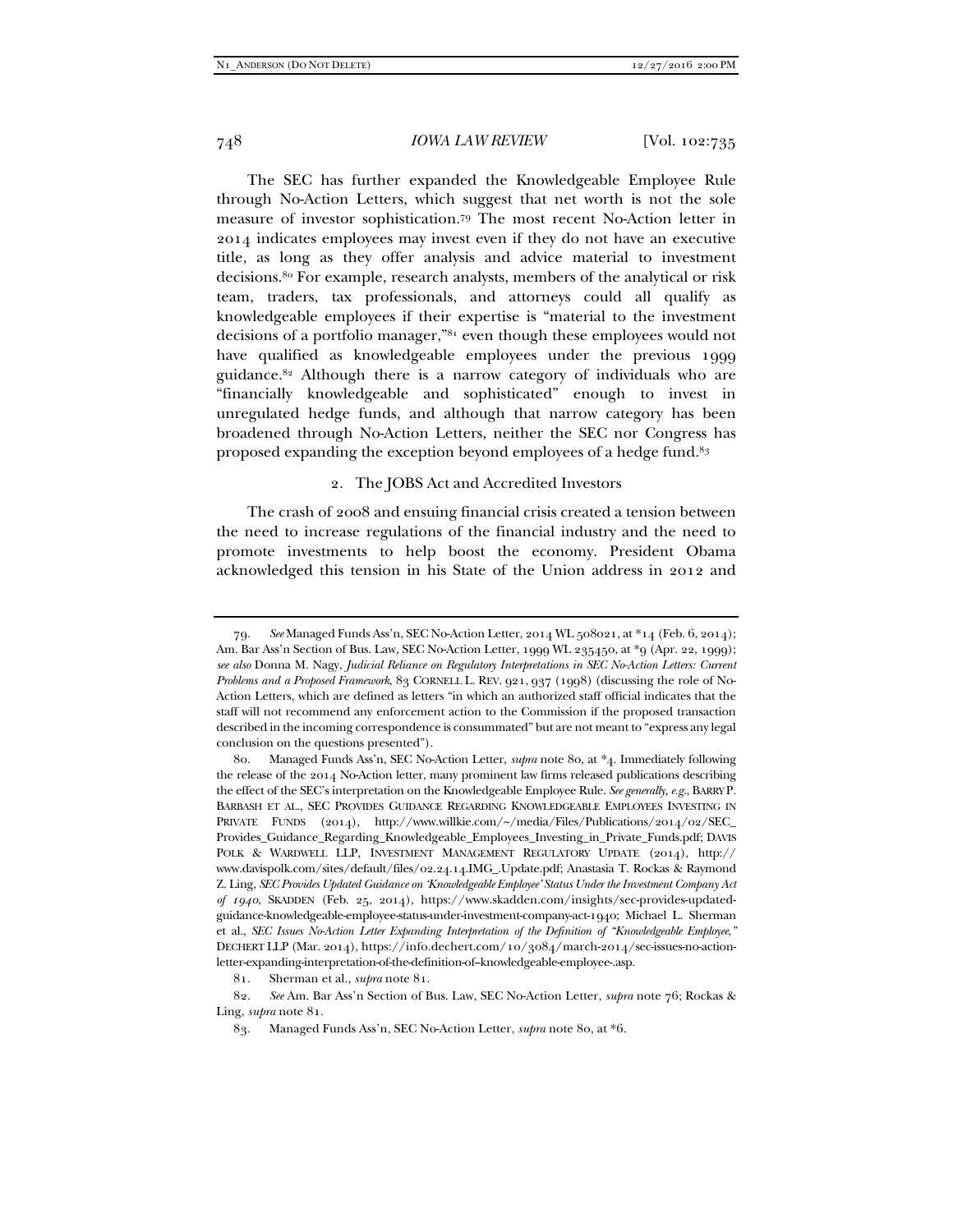The SEC has further expanded the Knowledgeable Employee Rule through No-Action Letters, which suggest that net worth is not the sole measure of investor sophistication.79 The most recent No-Action letter in 2014 indicates employees may invest even if they do not have an executive title, as long as they offer analysis and advice material to investment decisions.80 For example, research analysts, members of the analytical or risk team, traders, tax professionals, and attorneys could all qualify as knowledgeable employees if their expertise is "material to the investment decisions of a portfolio manager,"81 even though these employees would not have qualified as knowledgeable employees under the previous 1999 guidance.82 Although there is a narrow category of individuals who are "financially knowledgeable and sophisticated" enough to invest in unregulated hedge funds, and although that narrow category has been broadened through No-Action Letters, neither the SEC nor Congress has proposed expanding the exception beyond employees of a hedge fund.<sup>83</sup>

# 2. The JOBS Act and Accredited Investors

The crash of 2008 and ensuing financial crisis created a tension between the need to increase regulations of the financial industry and the need to promote investments to help boost the economy. President Obama acknowledged this tension in his State of the Union address in 2012 and

 <sup>79.</sup> *See* Managed Funds Ass'n, SEC No-Action Letter, 2014 WL 508021, at \*14 (Feb. 6, 2014); Am. Bar Ass'n Section of Bus. Law, SEC No-Action Letter, 1999 WL 235450, at \*9 (Apr. 22, 1999); *see also* Donna M. Nagy, *Judicial Reliance on Regulatory Interpretations in SEC No-Action Letters: Current Problems and a Proposed Framework*, 83 CORNELL L. REV. 921, 937 (1998) (discussing the role of No-Action Letters, which are defined as letters "in which an authorized staff official indicates that the staff will not recommend any enforcement action to the Commission if the proposed transaction described in the incoming correspondence is consummated" but are not meant to "express any legal conclusion on the questions presented").

 <sup>80.</sup> Managed Funds Ass'n, SEC No-Action Letter, *supra* note 80, at \*4. Immediately following the release of the 2014 No-Action letter, many prominent law firms released publications describing the effect of the SEC's interpretation on the Knowledgeable Employee Rule. *See generally, e.g.*, BARRY P. BARBASH ET AL., SEC PROVIDES GUIDANCE REGARDING KNOWLEDGEABLE EMPLOYEES INVESTING IN PRIVATE FUNDS (2014), http://www.willkie.com/~/media/Files/Publications/2014/02/SEC\_ Provides\_Guidance\_Regarding\_Knowledgeable\_Employees\_Investing\_in\_Private\_Funds.pdf; DAVIS POLK & WARDWELL LLP, INVESTMENT MANAGEMENT REGULATORY UPDATE (2014), http:// www.davispolk.com/sites/default/files/02.24.14.IMG\_.Update.pdf; Anastasia T. Rockas & Raymond Z. Ling, *SEC Provides Updated Guidance on 'Knowledgeable Employee' Status Under the Investment Company Act of 1940*, SKADDEN (Feb. 25, 2014), https://www.skadden.com/insights/sec-provides-updatedguidance-knowledgeable-employee-status-under-investment-company-act-1940; Michael L. Sherman et al., *SEC Issues No-Action Letter Expanding Interpretation of the Definition of "Knowledgeable Employee*,*"* DECHERT LLP (Mar. 2014), https://info.dechert.com/10/3084/march-2014/sec-issues-no-actionletter-expanding-interpretation-of-the-definition-of--knowledgeable-employee-.asp.

 <sup>81.</sup> Sherman et al., *supra* note 81.

 <sup>82.</sup> *See* Am. Bar Ass'n Section of Bus. Law, SEC No-Action Letter, *supra* note 76; Rockas & Ling, *supra* note 81.

 <sup>83.</sup> Managed Funds Ass'n, SEC No-Action Letter, *supra* note 80, at \*6.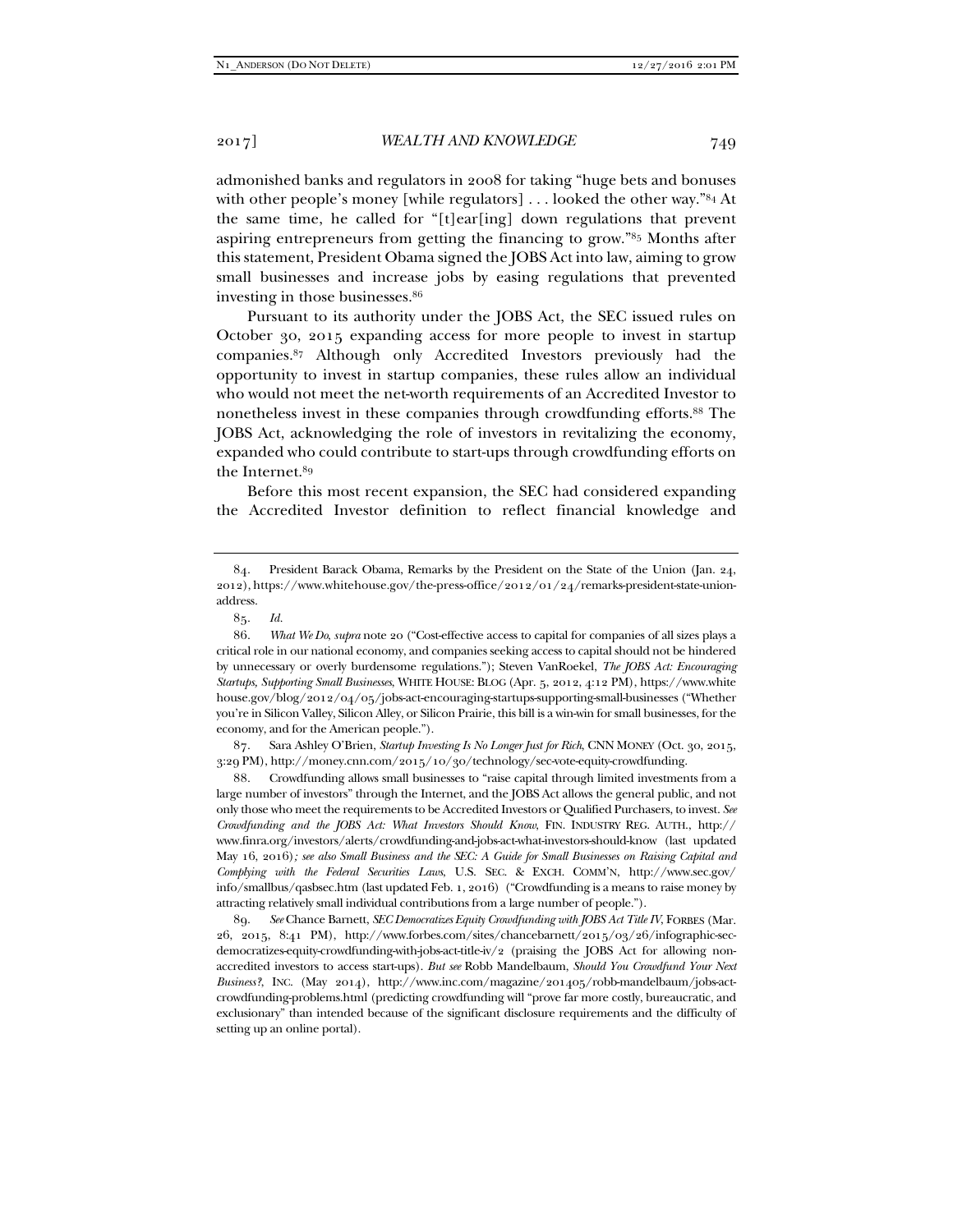admonished banks and regulators in 2008 for taking "huge bets and bonuses with other people's money [while regulators] ... looked the other way."<sup>84</sup> At the same time, he called for "[t]ear[ing] down regulations that prevent aspiring entrepreneurs from getting the financing to grow."85 Months after this statement, President Obama signed the JOBS Act into law, aiming to grow small businesses and increase jobs by easing regulations that prevented investing in those businesses.86

Pursuant to its authority under the JOBS Act, the SEC issued rules on October 30, 2015 expanding access for more people to invest in startup companies.87 Although only Accredited Investors previously had the opportunity to invest in startup companies, these rules allow an individual who would not meet the net-worth requirements of an Accredited Investor to nonetheless invest in these companies through crowdfunding efforts.88 The JOBS Act, acknowledging the role of investors in revitalizing the economy, expanded who could contribute to start-ups through crowdfunding efforts on the Internet.<sup>89</sup>

Before this most recent expansion, the SEC had considered expanding the Accredited Investor definition to reflect financial knowledge and

 87. Sara Ashley O'Brien, *Startup Investing Is No Longer Just for Rich*, CNN MONEY (Oct. 30, 2015, 3:29 PM), http://money.cnn.com/2015/10/30/technology/sec-vote-equity-crowdfunding.

 88. Crowdfunding allows small businesses to "raise capital through limited investments from a large number of investors" through the Internet, and the JOBS Act allows the general public, and not only those who meet the requirements to be Accredited Investors or Qualified Purchasers, to invest. *See Crowdfunding and the JOBS Act: What Investors Should Know*, FIN. INDUSTRY REG. AUTH., http:// www.finra.org/investors/alerts/crowdfunding-and-jobs-act-what-investors-should-know (last updated May 16, 2016)*; see also Small Business and the SEC: A Guide for Small Businesses on Raising Capital and Complying with the Federal Securities Laws*, U.S. SEC. & EXCH. COMM'N, http://www.sec.gov/ info/smallbus/qasbsec.htm (last updated Feb. 1, 2016) ("Crowdfunding is a means to raise money by attracting relatively small individual contributions from a large number of people.").

 89. *See* Chance Barnett, *SEC Democratizes Equity Crowdfunding with JOBS Act Title IV*, FORBES (Mar. 26, 2015, 8:41 PM), http://www.forbes.com/sites/chancebarnett/2015/03/26/infographic-secdemocratizes-equity-crowdfunding-with-jobs-act-title-iv/2 (praising the JOBS Act for allowing nonaccredited investors to access start-ups). *But see* Robb Mandelbaum, *Should You Crowdfund Your Next Business?*, INC. (May 2014), http://www.inc.com/magazine/201405/robb-mandelbaum/jobs-actcrowdfunding-problems.html (predicting crowdfunding will "prove far more costly, bureaucratic, and exclusionary" than intended because of the significant disclosure requirements and the difficulty of setting up an online portal).

 <sup>84.</sup> President Barack Obama, Remarks by the President on the State of the Union (Jan. 24, 2012), https://www.whitehouse.gov/the-press-office/2012/01/24/remarks-president-state-unionaddress.

 <sup>85.</sup> *Id.*

 <sup>86.</sup> *What We Do*, *supra* note 20 ("Cost-effective access to capital for companies of all sizes plays a critical role in our national economy, and companies seeking access to capital should not be hindered by unnecessary or overly burdensome regulations."); Steven VanRoekel, *The JOBS Act: Encouraging Startups, Supporting Small Businesses*, WHITE HOUSE: BLOG (Apr. 5, 2012, 4:12 PM), https://www.white house.gov/blog/2012/04/05/jobs-act-encouraging-startups-supporting-small-businesses ("Whether you're in Silicon Valley, Silicon Alley, or Silicon Prairie, this bill is a win-win for small businesses, for the economy, and for the American people.").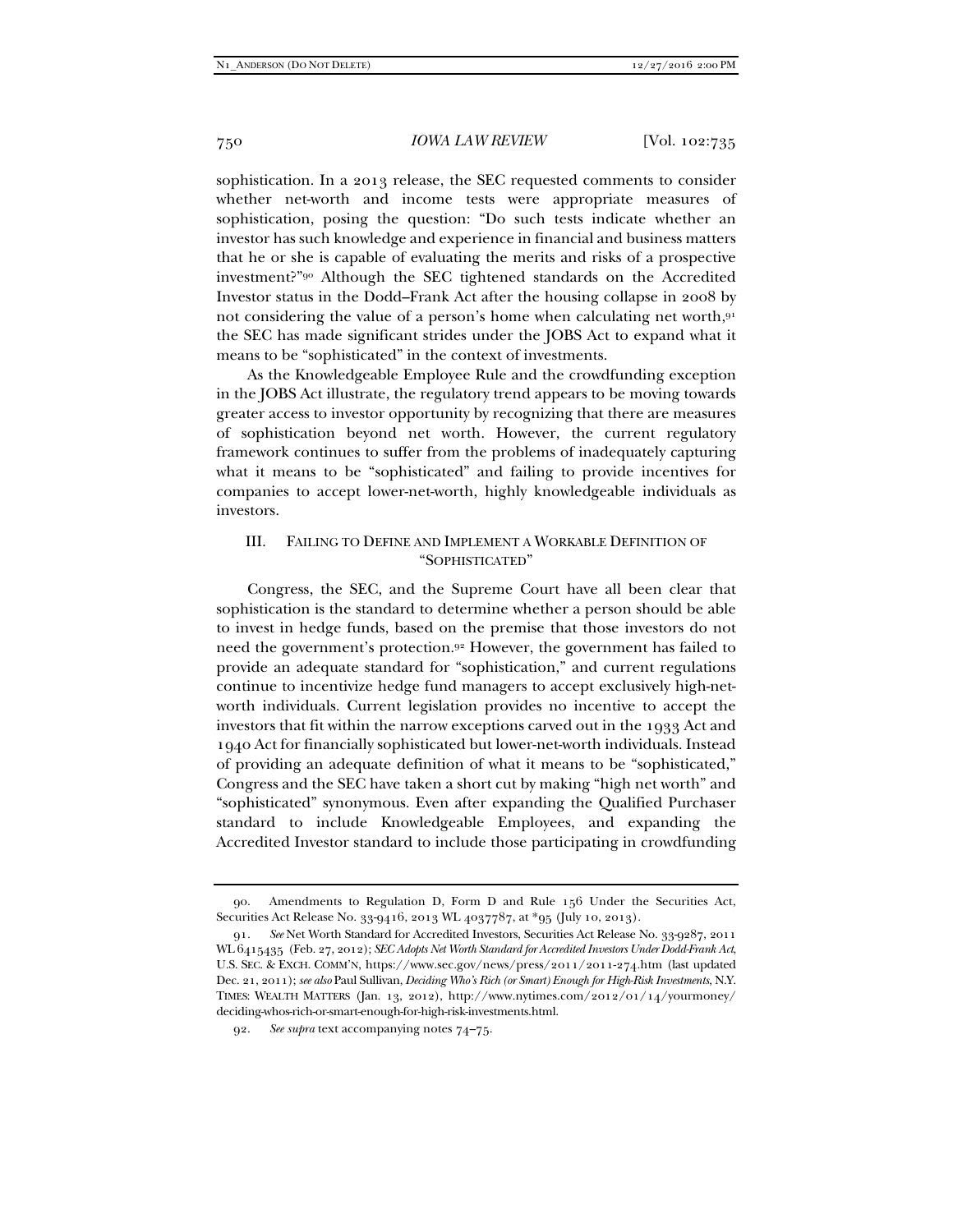sophistication. In a 2013 release, the SEC requested comments to consider whether net-worth and income tests were appropriate measures of sophistication, posing the question: "Do such tests indicate whether an investor has such knowledge and experience in financial and business matters that he or she is capable of evaluating the merits and risks of a prospective investment?"90 Although the SEC tightened standards on the Accredited Investor status in the Dodd–Frank Act after the housing collapse in 2008 by not considering the value of a person's home when calculating net worth,91 the SEC has made significant strides under the JOBS Act to expand what it means to be "sophisticated" in the context of investments.

As the Knowledgeable Employee Rule and the crowdfunding exception in the JOBS Act illustrate, the regulatory trend appears to be moving towards greater access to investor opportunity by recognizing that there are measures of sophistication beyond net worth. However, the current regulatory framework continues to suffer from the problems of inadequately capturing what it means to be "sophisticated" and failing to provide incentives for companies to accept lower-net-worth, highly knowledgeable individuals as investors.

# III. FAILING TO DEFINE AND IMPLEMENT A WORKABLE DEFINITION OF "SOPHISTICATED"

Congress, the SEC, and the Supreme Court have all been clear that sophistication is the standard to determine whether a person should be able to invest in hedge funds, based on the premise that those investors do not need the government's protection.92 However, the government has failed to provide an adequate standard for "sophistication," and current regulations continue to incentivize hedge fund managers to accept exclusively high-networth individuals. Current legislation provides no incentive to accept the investors that fit within the narrow exceptions carved out in the 1933 Act and 1940 Act for financially sophisticated but lower-net-worth individuals. Instead of providing an adequate definition of what it means to be "sophisticated," Congress and the SEC have taken a short cut by making "high net worth" and "sophisticated" synonymous. Even after expanding the Qualified Purchaser standard to include Knowledgeable Employees, and expanding the Accredited Investor standard to include those participating in crowdfunding

 <sup>90.</sup> Amendments to Regulation D, Form D and Rule 156 Under the Securities Act, Securities Act Release No. 33-9416, 2013 WL 4037787, at \*95 (July 10, 2013).

 <sup>91.</sup> *See* Net Worth Standard for Accredited Investors, Securities Act Release No. 33-9287, 2011 WL 6415435 (Feb. 27, 2012); *SEC Adopts Net Worth Standard for Accredited Investors Under Dodd-Frank Act*, U.S. SEC. & EXCH. COMM'N, https://www.sec.gov/news/press/2011/2011-274.htm (last updated Dec. 21, 2011); *see also* Paul Sullivan, *Deciding Who's Rich (or Smart) Enough for High-Risk Investments*, N.Y. TIMES: WEALTH MATTERS (Jan. 13, 2012), http://www.nytimes.com/2012/01/14/yourmoney/ deciding-whos-rich-or-smart-enough-for-high-risk-investments.html.

 <sup>92.</sup> *See supra* text accompanying notes 74–75.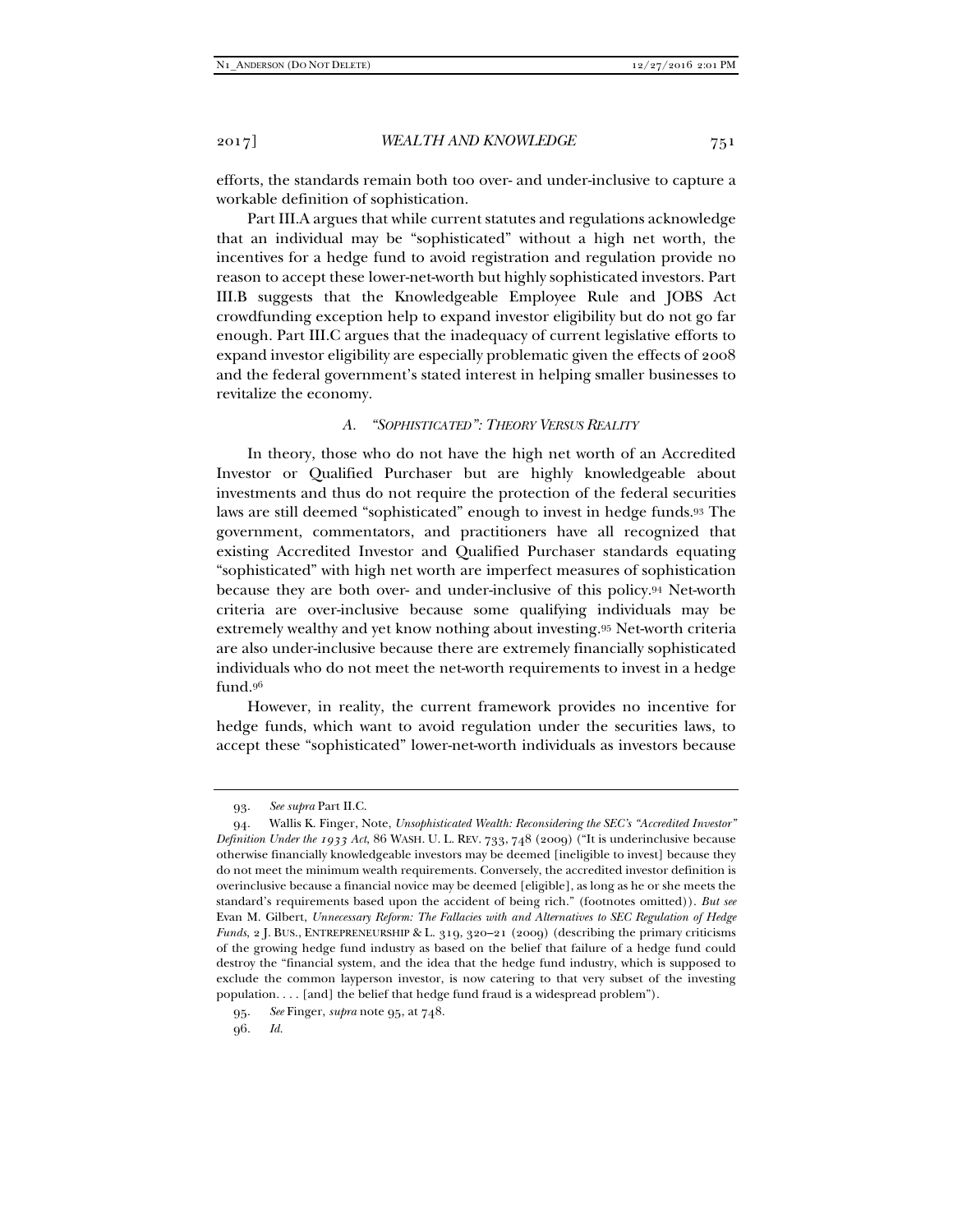efforts, the standards remain both too over- and under-inclusive to capture a workable definition of sophistication.

Part III.A argues that while current statutes and regulations acknowledge that an individual may be "sophisticated" without a high net worth, the incentives for a hedge fund to avoid registration and regulation provide no reason to accept these lower-net-worth but highly sophisticated investors. Part III.B suggests that the Knowledgeable Employee Rule and JOBS Act crowdfunding exception help to expand investor eligibility but do not go far enough. Part III.C argues that the inadequacy of current legislative efforts to expand investor eligibility are especially problematic given the effects of 2008 and the federal government's stated interest in helping smaller businesses to revitalize the economy.

# *A. "SOPHISTICATED": THEORY VERSUS REALITY*

In theory, those who do not have the high net worth of an Accredited Investor or Qualified Purchaser but are highly knowledgeable about investments and thus do not require the protection of the federal securities laws are still deemed "sophisticated" enough to invest in hedge funds.93 The government, commentators, and practitioners have all recognized that existing Accredited Investor and Qualified Purchaser standards equating "sophisticated" with high net worth are imperfect measures of sophistication because they are both over- and under-inclusive of this policy.94 Net-worth criteria are over-inclusive because some qualifying individuals may be extremely wealthy and yet know nothing about investing.95 Net-worth criteria are also under-inclusive because there are extremely financially sophisticated individuals who do not meet the net-worth requirements to invest in a hedge fund.96

However, in reality, the current framework provides no incentive for hedge funds, which want to avoid regulation under the securities laws, to accept these "sophisticated" lower-net-worth individuals as investors because

 <sup>93.</sup> *See supra* Part II.C.

 <sup>94.</sup> Wallis K. Finger, Note, *Unsophisticated Wealth: Reconsidering the SEC's "Accredited Investor" Definition Under the 1933 Act*, 86 WASH. U. L. REV. 733, 748 (2009) ("It is underinclusive because otherwise financially knowledgeable investors may be deemed [ineligible to invest] because they do not meet the minimum wealth requirements. Conversely, the accredited investor definition is overinclusive because a financial novice may be deemed [eligible], as long as he or she meets the standard's requirements based upon the accident of being rich." (footnotes omitted)). *But see*  Evan M. Gilbert, *Unnecessary Reform: The Fallacies with and Alternatives to SEC Regulation of Hedge Funds*, 2 J. BUS., ENTREPRENEURSHIP & L. 319, 320–21 (2009) (describing the primary criticisms of the growing hedge fund industry as based on the belief that failure of a hedge fund could destroy the "financial system, and the idea that the hedge fund industry, which is supposed to exclude the common layperson investor, is now catering to that very subset of the investing population. . . . [and] the belief that hedge fund fraud is a widespread problem").

 <sup>95.</sup> *See* Finger, *supra* note 95, at 748.

 <sup>96.</sup> *Id.*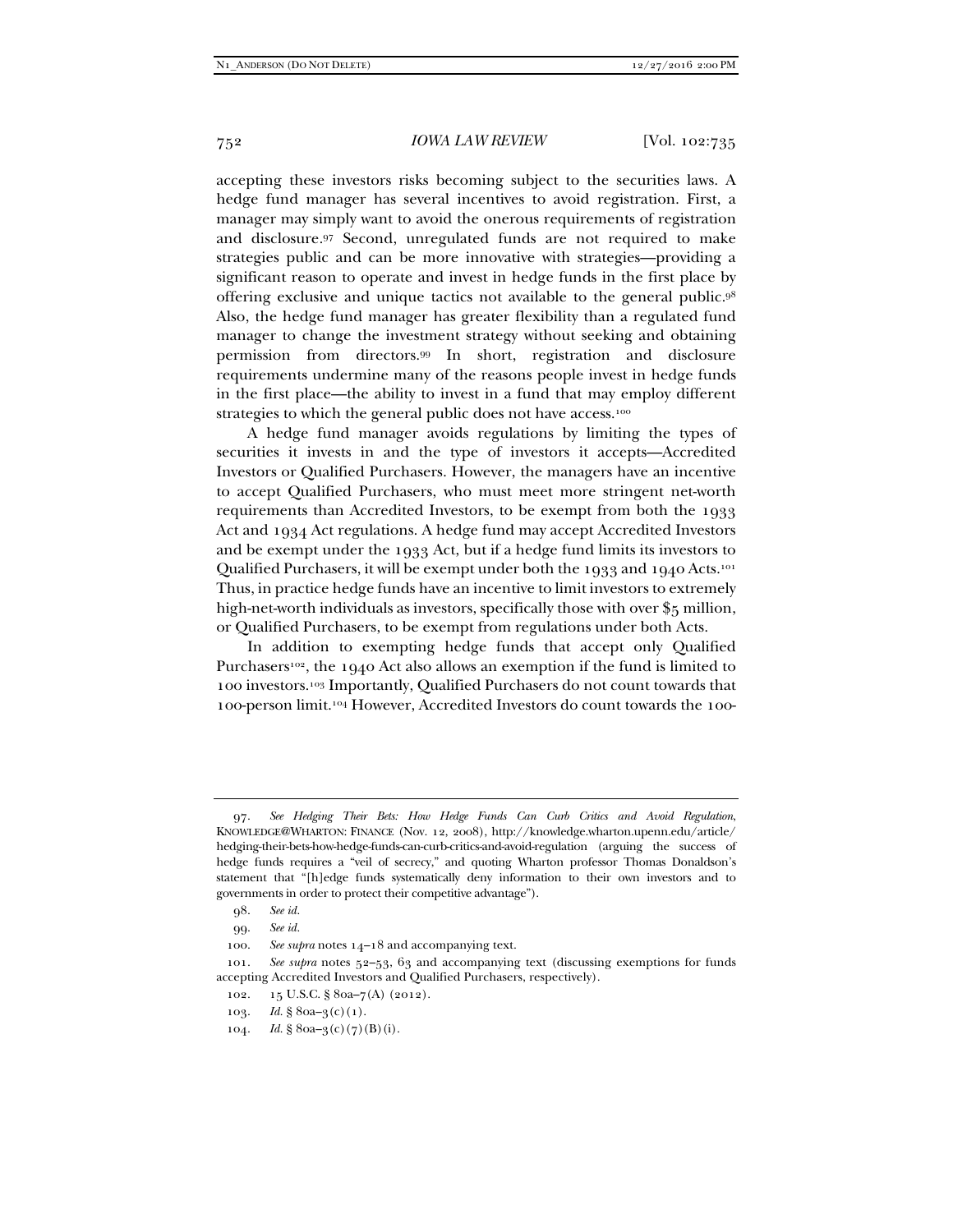accepting these investors risks becoming subject to the securities laws. A hedge fund manager has several incentives to avoid registration. First, a manager may simply want to avoid the onerous requirements of registration and disclosure.97 Second, unregulated funds are not required to make strategies public and can be more innovative with strategies—providing a significant reason to operate and invest in hedge funds in the first place by offering exclusive and unique tactics not available to the general public.98 Also, the hedge fund manager has greater flexibility than a regulated fund manager to change the investment strategy without seeking and obtaining permission from directors.99 In short, registration and disclosure requirements undermine many of the reasons people invest in hedge funds in the first place—the ability to invest in a fund that may employ different strategies to which the general public does not have access.<sup>100</sup>

A hedge fund manager avoids regulations by limiting the types of securities it invests in and the type of investors it accepts—Accredited Investors or Qualified Purchasers. However, the managers have an incentive to accept Qualified Purchasers, who must meet more stringent net-worth requirements than Accredited Investors, to be exempt from both the 1933 Act and 1934 Act regulations. A hedge fund may accept Accredited Investors and be exempt under the 1933 Act, but if a hedge fund limits its investors to Qualified Purchasers, it will be exempt under both the 1933 and 1940 Acts.101 Thus, in practice hedge funds have an incentive to limit investors to extremely high-net-worth individuals as investors, specifically those with over \$5 million, or Qualified Purchasers, to be exempt from regulations under both Acts.

In addition to exempting hedge funds that accept only Qualified Purchasers<sup>102</sup>, the 1940 Act also allows an exemption if the fund is limited to 100 investors.103 Importantly, Qualified Purchasers do not count towards that 100-person limit.104 However, Accredited Investors do count towards the 100-

 <sup>97.</sup> *See Hedging Their Bets: How Hedge Funds Can Curb Critics and Avoid Regulation*, KNOWLEDGE@WHARTON: FINANCE (Nov. 12, 2008), http://knowledge.wharton.upenn.edu/article/ hedging-their-bets-how-hedge-funds-can-curb-critics-and-avoid-regulation (arguing the success of hedge funds requires a "veil of secrecy," and quoting Wharton professor Thomas Donaldson's statement that "[h]edge funds systematically deny information to their own investors and to governments in order to protect their competitive advantage").

 <sup>98.</sup> *See id.*

 <sup>99.</sup> *See id.*

 <sup>100.</sup> *See supra* notes 14–18 and accompanying text.

 <sup>101.</sup> *See supra* notes 52–53, 63 and accompanying text (discussing exemptions for funds accepting Accredited Investors and Qualified Purchasers, respectively).

 <sup>102. 15</sup> U.S.C. § 80a–7(A) (2012).

<sup>103.</sup> *Id.* § 80a–3(c)(1).

<sup>104.</sup> *Id.* § 80a– $3(c)(7)(B)(i)$ .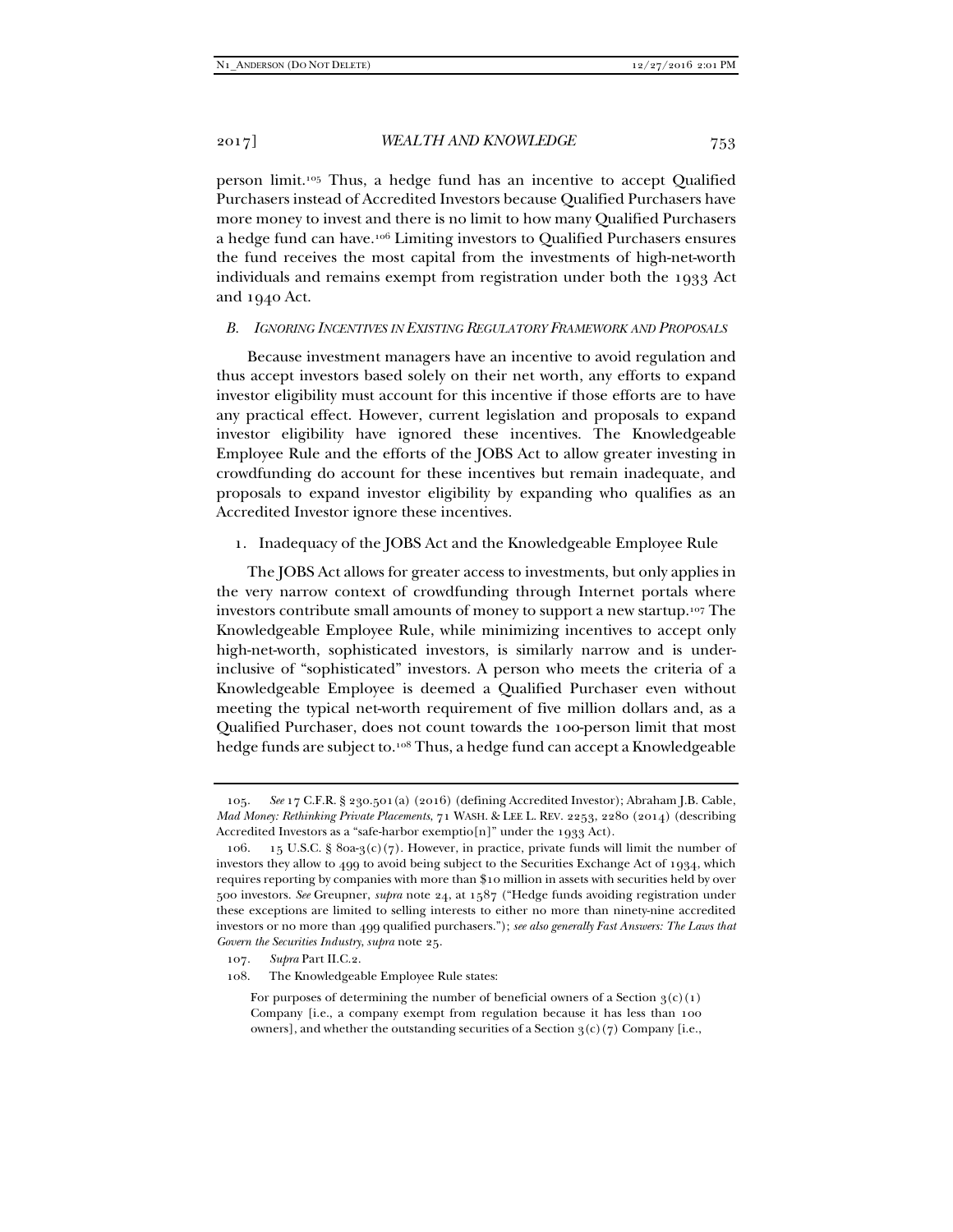person limit.105 Thus, a hedge fund has an incentive to accept Qualified Purchasers instead of Accredited Investors because Qualified Purchasers have more money to invest and there is no limit to how many Qualified Purchasers a hedge fund can have.106 Limiting investors to Qualified Purchasers ensures the fund receives the most capital from the investments of high-net-worth individuals and remains exempt from registration under both the 1933 Act and 1940 Act.

# *B. IGNORING INCENTIVES IN EXISTING REGULATORY FRAMEWORK AND PROPOSALS*

Because investment managers have an incentive to avoid regulation and thus accept investors based solely on their net worth, any efforts to expand investor eligibility must account for this incentive if those efforts are to have any practical effect. However, current legislation and proposals to expand investor eligibility have ignored these incentives. The Knowledgeable Employee Rule and the efforts of the JOBS Act to allow greater investing in crowdfunding do account for these incentives but remain inadequate, and proposals to expand investor eligibility by expanding who qualifies as an Accredited Investor ignore these incentives.

#### 1. Inadequacy of the JOBS Act and the Knowledgeable Employee Rule

The JOBS Act allows for greater access to investments, but only applies in the very narrow context of crowdfunding through Internet portals where investors contribute small amounts of money to support a new startup.107 The Knowledgeable Employee Rule, while minimizing incentives to accept only high-net-worth, sophisticated investors, is similarly narrow and is underinclusive of "sophisticated" investors. A person who meets the criteria of a Knowledgeable Employee is deemed a Qualified Purchaser even without meeting the typical net-worth requirement of five million dollars and, as a Qualified Purchaser, does not count towards the 100-person limit that most hedge funds are subject to.108 Thus, a hedge fund can accept a Knowledgeable

107. *Supra* Part II.C.2.

108. The Knowledgeable Employee Rule states:

For purposes of determining the number of beneficial owners of a Section  $3(c)(1)$ Company [i.e., a company exempt from regulation because it has less than 100 owners], and whether the outstanding securities of a Section  $3(c)(7)$  Company [i.e.,

 <sup>105.</sup> *See* 17 C.F.R. § 230.501(a) (2016) (defining Accredited Investor); Abraham J.B. Cable, *Mad Money: Rethinking Private Placements*, 71 WASH. & LEE L. REV. 2253, 2280 (2014) (describing Accredited Investors as a "safe-harbor exemptio[n]" under the 1933 Act).

<sup>106. 15</sup> U.S.C. § 80a-3(c)(7). However, in practice, private funds will limit the number of investors they allow to 499 to avoid being subject to the Securities Exchange Act of 1934, which requires reporting by companies with more than \$10 million in assets with securities held by over 500 investors. *See* Greupner, *supra* note 24, at 1587 ("Hedge funds avoiding registration under these exceptions are limited to selling interests to either no more than ninety-nine accredited investors or no more than 499 qualified purchasers."); *see also generally Fast Answers: The Laws that Govern the Securities Industry*, *supra* note 25.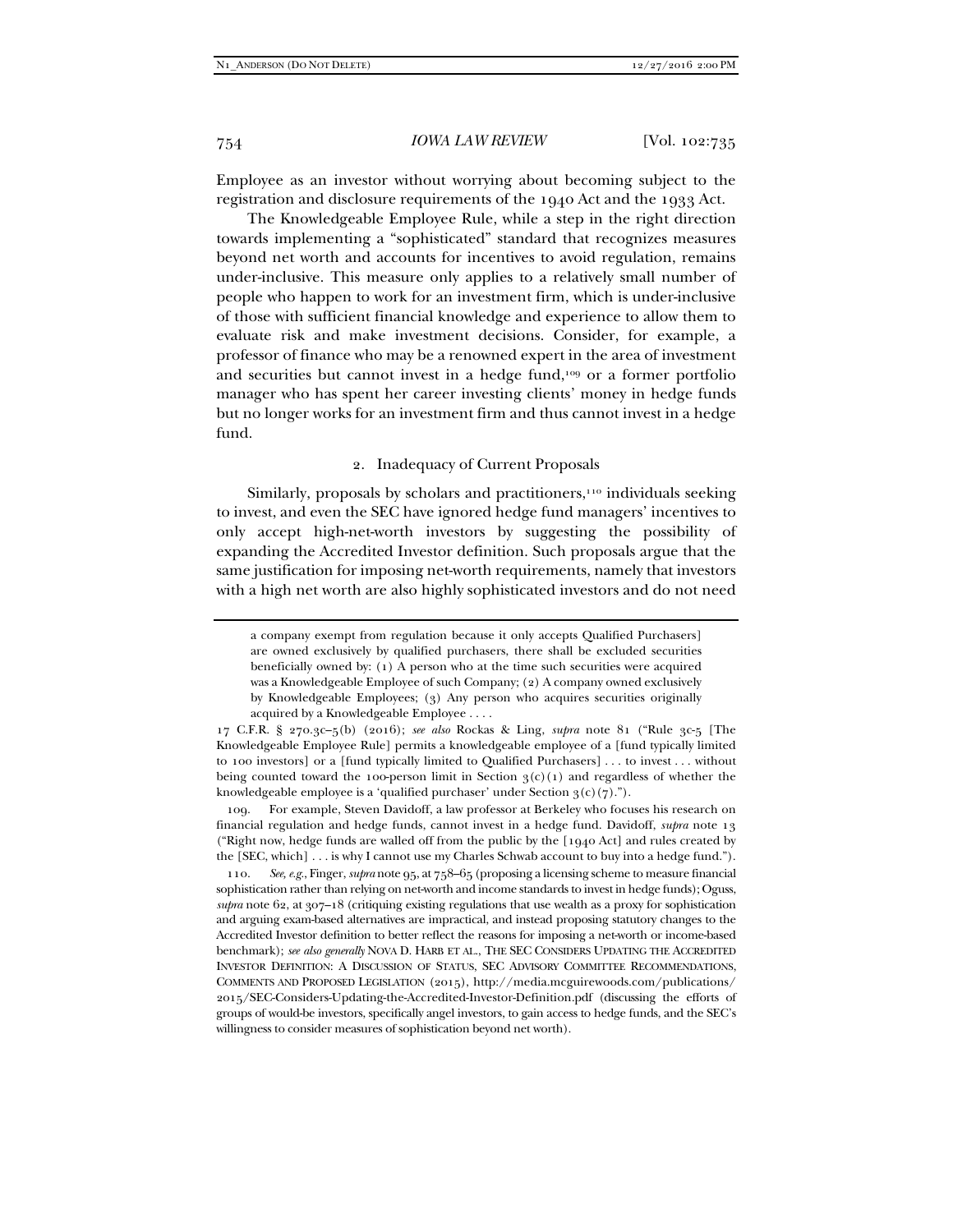Employee as an investor without worrying about becoming subject to the registration and disclosure requirements of the 1940 Act and the 1933 Act.

The Knowledgeable Employee Rule, while a step in the right direction towards implementing a "sophisticated" standard that recognizes measures beyond net worth and accounts for incentives to avoid regulation, remains under-inclusive. This measure only applies to a relatively small number of people who happen to work for an investment firm, which is under-inclusive of those with sufficient financial knowledge and experience to allow them to evaluate risk and make investment decisions. Consider, for example, a professor of finance who may be a renowned expert in the area of investment and securities but cannot invest in a hedge fund,109 or a former portfolio manager who has spent her career investing clients' money in hedge funds but no longer works for an investment firm and thus cannot invest in a hedge fund.

# 2. Inadequacy of Current Proposals

Similarly, proposals by scholars and practitioners, $110$  individuals seeking to invest, and even the SEC have ignored hedge fund managers' incentives to only accept high-net-worth investors by suggesting the possibility of expanding the Accredited Investor definition. Such proposals argue that the same justification for imposing net-worth requirements, namely that investors with a high net worth are also highly sophisticated investors and do not need

 109. For example, Steven Davidoff, a law professor at Berkeley who focuses his research on financial regulation and hedge funds, cannot invest in a hedge fund. Davidoff, *supra* note 13 ("Right now, hedge funds are walled off from the public by the [1940 Act] and rules created by the [SEC, which] . . . is why I cannot use my Charles Schwab account to buy into a hedge fund.").

 110. *See, e.g.*, Finger, *supra* note 95, at 758–65 (proposing a licensing scheme to measure financial sophistication rather than relying on net-worth and income standards to invest in hedge funds); Oguss, *supra* note 62, at 307–18 (critiquing existing regulations that use wealth as a proxy for sophistication and arguing exam-based alternatives are impractical, and instead proposing statutory changes to the Accredited Investor definition to better reflect the reasons for imposing a net-worth or income-based benchmark); *see also generally* NOVA D. HARB ET AL., THE SEC CONSIDERS UPDATING THE ACCREDITED INVESTOR DEFINITION: A DISCUSSION OF STATUS, SEC ADVISORY COMMITTEE RECOMMENDATIONS, COMMENTS AND PROPOSED LEGISLATION (2015), http://media.mcguirewoods.com/publications/ 2015/SEC-Considers-Updating-the-Accredited-Investor-Definition.pdf (discussing the efforts of groups of would-be investors, specifically angel investors, to gain access to hedge funds, and the SEC's willingness to consider measures of sophistication beyond net worth).

a company exempt from regulation because it only accepts Qualified Purchasers] are owned exclusively by qualified purchasers, there shall be excluded securities beneficially owned by: (1) A person who at the time such securities were acquired was a Knowledgeable Employee of such Company; (2) A company owned exclusively by Knowledgeable Employees; (3) Any person who acquires securities originally acquired by a Knowledgeable Employee . . . .

<sup>17</sup> C.F.R. § 270.3c–5(b) (2016); *see also* Rockas & Ling, *supra* note 81 ("Rule 3c-5 [The Knowledgeable Employee Rule] permits a knowledgeable employee of a [fund typically limited to 100 investors] or a [fund typically limited to Qualified Purchasers] . . . to invest . . . without being counted toward the 100-person limit in Section  $3(c)(1)$  and regardless of whether the knowledgeable employee is a 'qualified purchaser' under Section  $3(c)(7)$ .").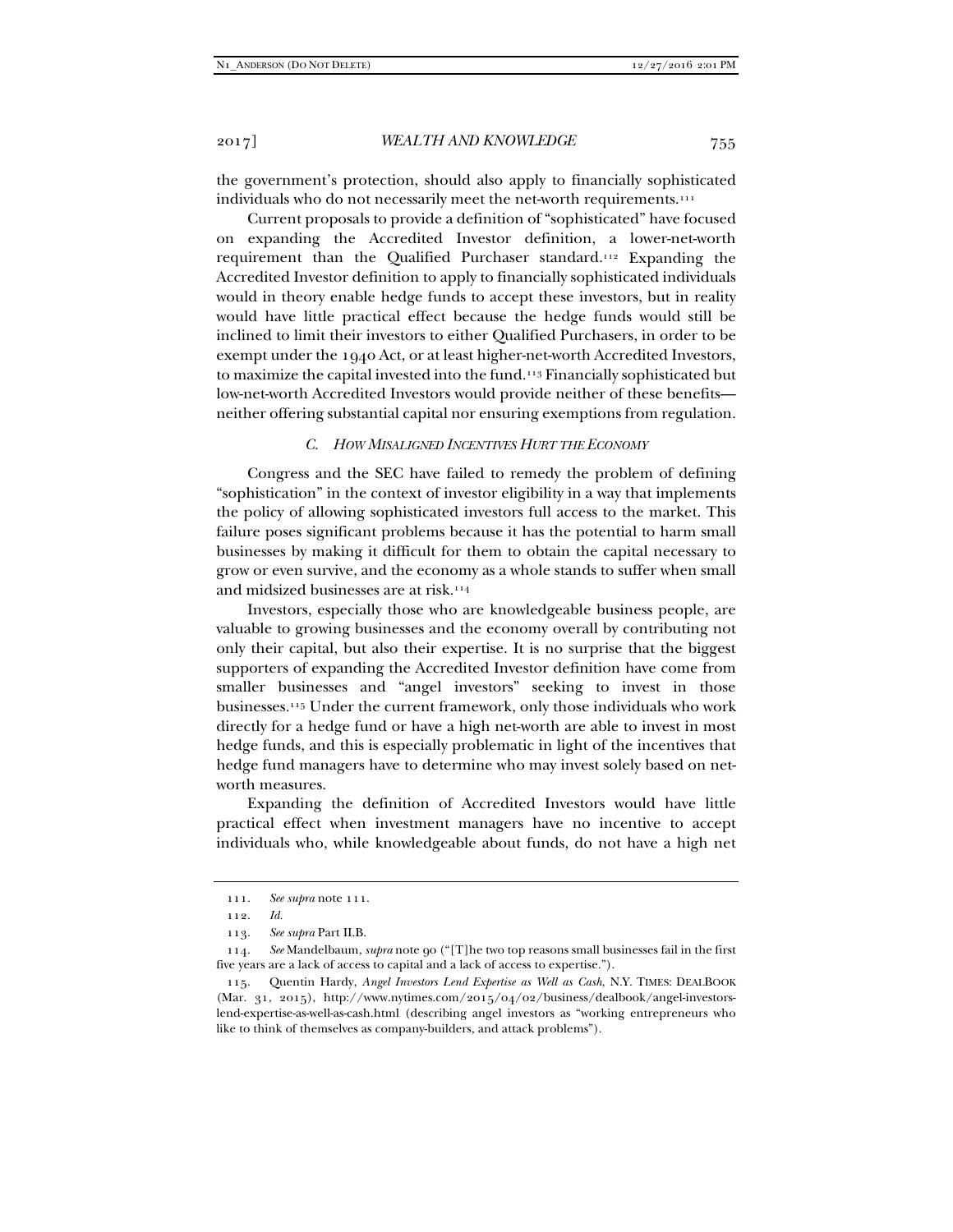the government's protection, should also apply to financially sophisticated individuals who do not necessarily meet the net-worth requirements.<sup>111</sup>

Current proposals to provide a definition of "sophisticated" have focused on expanding the Accredited Investor definition, a lower-net-worth requirement than the Qualified Purchaser standard.112 Expanding the Accredited Investor definition to apply to financially sophisticated individuals would in theory enable hedge funds to accept these investors, but in reality would have little practical effect because the hedge funds would still be inclined to limit their investors to either Qualified Purchasers, in order to be exempt under the 1940 Act, or at least higher-net-worth Accredited Investors, to maximize the capital invested into the fund.113 Financially sophisticated but low-net-worth Accredited Investors would provide neither of these benefits neither offering substantial capital nor ensuring exemptions from regulation.

# *C. HOW MISALIGNED INCENTIVES HURT THE ECONOMY*

Congress and the SEC have failed to remedy the problem of defining "sophistication" in the context of investor eligibility in a way that implements the policy of allowing sophisticated investors full access to the market. This failure poses significant problems because it has the potential to harm small businesses by making it difficult for them to obtain the capital necessary to grow or even survive, and the economy as a whole stands to suffer when small and midsized businesses are at risk.114

Investors, especially those who are knowledgeable business people, are valuable to growing businesses and the economy overall by contributing not only their capital, but also their expertise. It is no surprise that the biggest supporters of expanding the Accredited Investor definition have come from smaller businesses and "angel investors" seeking to invest in those businesses.115 Under the current framework, only those individuals who work directly for a hedge fund or have a high net-worth are able to invest in most hedge funds, and this is especially problematic in light of the incentives that hedge fund managers have to determine who may invest solely based on networth measures.

Expanding the definition of Accredited Investors would have little practical effect when investment managers have no incentive to accept individuals who, while knowledgeable about funds, do not have a high net

 <sup>111.</sup> *See supra* note 111.

 <sup>112.</sup> *Id.*

 <sup>113.</sup> *See supra* Part II.B.

 <sup>114.</sup> *See* Mandelbaum, *supra* note 90 ("[T]he two top reasons small businesses fail in the first five years are a lack of access to capital and a lack of access to expertise.").

 <sup>115.</sup> Quentin Hardy, *Angel Investors Lend Expertise as Well as Cash*, N.Y. TIMES: DEALBOOK (Mar. 31, 2015), http://www.nytimes.com/2015/04/02/business/dealbook/angel-investorslend-expertise-as-well-as-cash.html (describing angel investors as "working entrepreneurs who like to think of themselves as company-builders, and attack problems").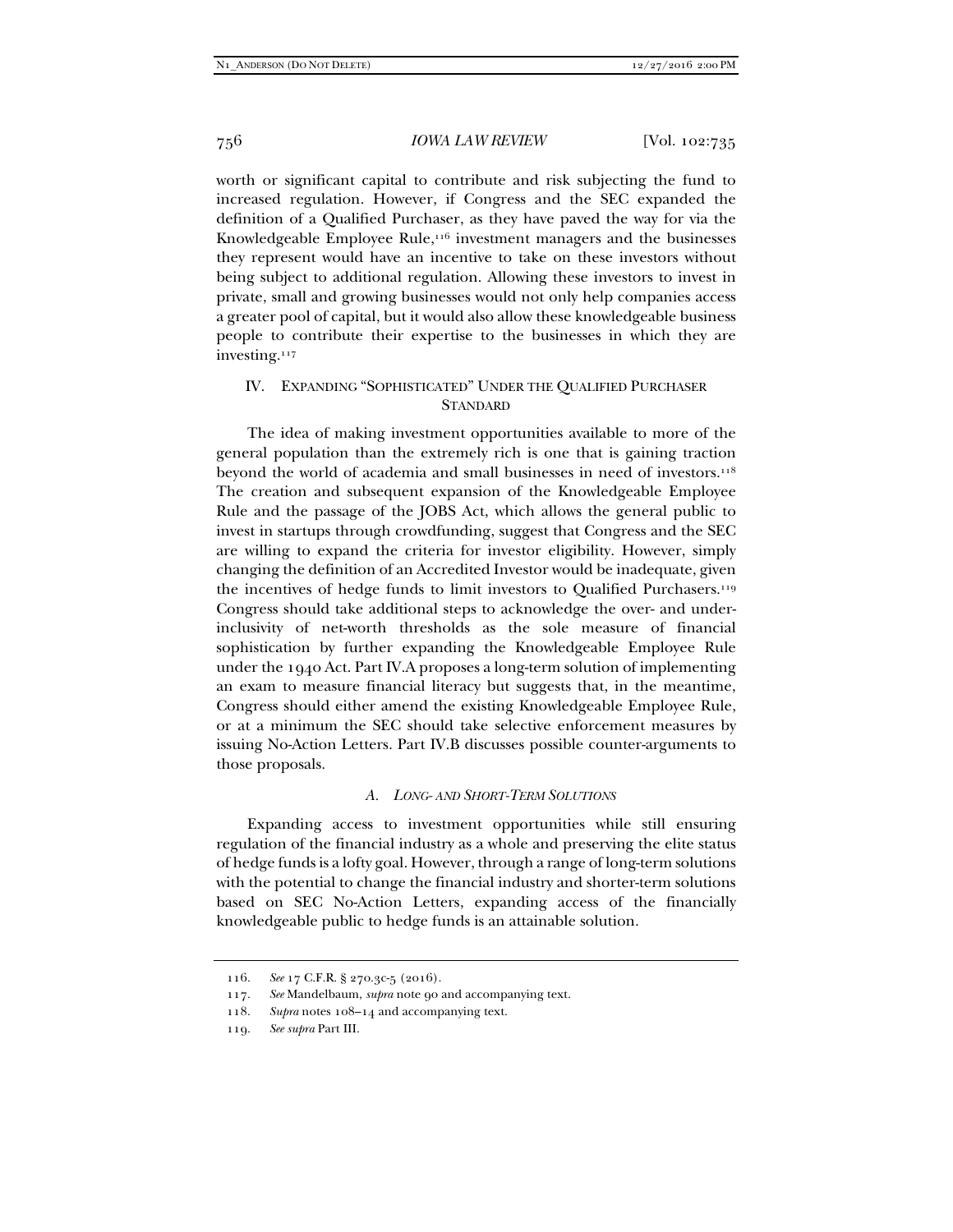worth or significant capital to contribute and risk subjecting the fund to increased regulation. However, if Congress and the SEC expanded the definition of a Qualified Purchaser, as they have paved the way for via the Knowledgeable Employee Rule,<sup>116</sup> investment managers and the businesses they represent would have an incentive to take on these investors without being subject to additional regulation. Allowing these investors to invest in private, small and growing businesses would not only help companies access a greater pool of capital, but it would also allow these knowledgeable business people to contribute their expertise to the businesses in which they are investing.117

# IV. EXPANDING "SOPHISTICATED" UNDER THE QUALIFIED PURCHASER **STANDARD**

The idea of making investment opportunities available to more of the general population than the extremely rich is one that is gaining traction beyond the world of academia and small businesses in need of investors.<sup>118</sup> The creation and subsequent expansion of the Knowledgeable Employee Rule and the passage of the JOBS Act, which allows the general public to invest in startups through crowdfunding, suggest that Congress and the SEC are willing to expand the criteria for investor eligibility. However, simply changing the definition of an Accredited Investor would be inadequate, given the incentives of hedge funds to limit investors to Qualified Purchasers.119 Congress should take additional steps to acknowledge the over- and underinclusivity of net-worth thresholds as the sole measure of financial sophistication by further expanding the Knowledgeable Employee Rule under the 1940 Act. Part IV.A proposes a long-term solution of implementing an exam to measure financial literacy but suggests that, in the meantime, Congress should either amend the existing Knowledgeable Employee Rule, or at a minimum the SEC should take selective enforcement measures by issuing No-Action Letters. Part IV.B discusses possible counter-arguments to those proposals.

# *A. LONG- AND SHORT-TERM SOLUTIONS*

Expanding access to investment opportunities while still ensuring regulation of the financial industry as a whole and preserving the elite status of hedge funds is a lofty goal. However, through a range of long-term solutions with the potential to change the financial industry and shorter-term solutions based on SEC No-Action Letters, expanding access of the financially knowledgeable public to hedge funds is an attainable solution.

 <sup>116.</sup> *See* 17 C.F.R. § 270.3c-5 (2016).

 <sup>117.</sup> *See* Mandelbaum, *supra* note 90 and accompanying text.

 <sup>118.</sup> *Supra* notes 108–14 and accompanying text.

 <sup>119.</sup> *See supra* Part III.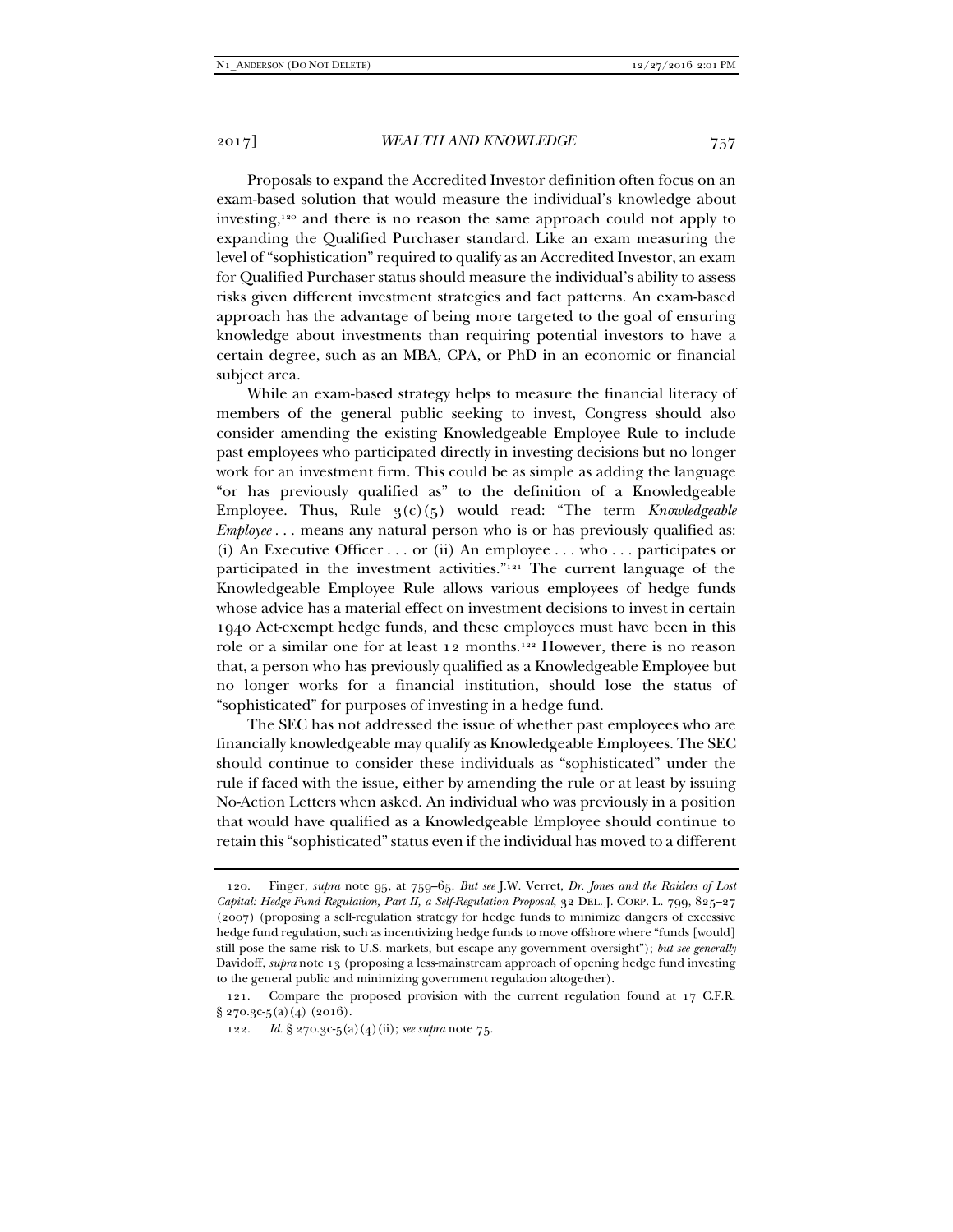Proposals to expand the Accredited Investor definition often focus on an exam-based solution that would measure the individual's knowledge about investing,120 and there is no reason the same approach could not apply to expanding the Qualified Purchaser standard. Like an exam measuring the level of "sophistication" required to qualify as an Accredited Investor, an exam for Qualified Purchaser status should measure the individual's ability to assess risks given different investment strategies and fact patterns. An exam-based approach has the advantage of being more targeted to the goal of ensuring knowledge about investments than requiring potential investors to have a certain degree, such as an MBA, CPA, or PhD in an economic or financial subject area.

While an exam-based strategy helps to measure the financial literacy of members of the general public seeking to invest, Congress should also consider amending the existing Knowledgeable Employee Rule to include past employees who participated directly in investing decisions but no longer work for an investment firm. This could be as simple as adding the language "or has previously qualified as" to the definition of a Knowledgeable Employee. Thus, Rule 3(c)(5) would read: "The term *Knowledgeable Employee* . . . means any natural person who is or has previously qualified as: (i) An Executive Officer . . . or (ii) An employee . . . who . . . participates or participated in the investment activities."121 The current language of the Knowledgeable Employee Rule allows various employees of hedge funds whose advice has a material effect on investment decisions to invest in certain 1940 Act-exempt hedge funds, and these employees must have been in this role or a similar one for at least 12 months.122 However, there is no reason that, a person who has previously qualified as a Knowledgeable Employee but no longer works for a financial institution, should lose the status of "sophisticated" for purposes of investing in a hedge fund.

The SEC has not addressed the issue of whether past employees who are financially knowledgeable may qualify as Knowledgeable Employees. The SEC should continue to consider these individuals as "sophisticated" under the rule if faced with the issue, either by amending the rule or at least by issuing No-Action Letters when asked. An individual who was previously in a position that would have qualified as a Knowledgeable Employee should continue to retain this "sophisticated" status even if the individual has moved to a different

 <sup>120.</sup> Finger, *supra* note 95, at 759–65. *But see* J.W. Verret, *Dr. Jones and the Raiders of Lost Capital: Hedge Fund Regulation, Part II, a Self-Regulation Proposal*, 32 DEL. J. CORP. L. 799, 825–27 (2007) (proposing a self-regulation strategy for hedge funds to minimize dangers of excessive hedge fund regulation, such as incentivizing hedge funds to move offshore where "funds [would] still pose the same risk to U.S. markets, but escape any government oversight"); *but see generally* Davidoff, *supra* note 13 (proposing a less-mainstream approach of opening hedge fund investing to the general public and minimizing government regulation altogether).

 <sup>121.</sup> Compare the proposed provision with the current regulation found at 17 C.F.R.  $§ 270.3c-5(2)(4)(2016).$ 

 <sup>122.</sup> *Id.* § 270.3c-5(a)(4)(ii); *see supra* note 75.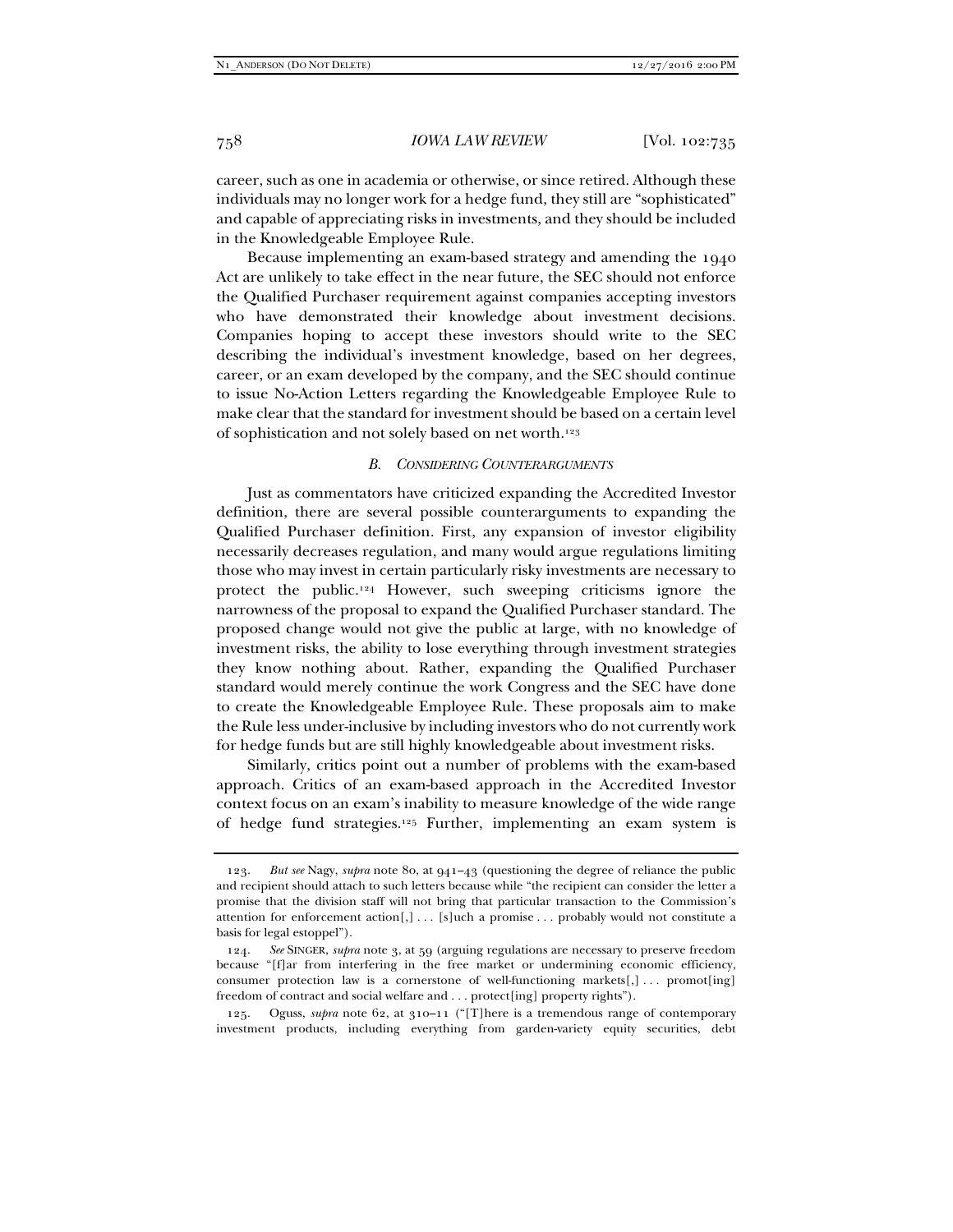career, such as one in academia or otherwise, or since retired. Although these individuals may no longer work for a hedge fund, they still are "sophisticated" and capable of appreciating risks in investments, and they should be included in the Knowledgeable Employee Rule.

Because implementing an exam-based strategy and amending the 1940 Act are unlikely to take effect in the near future, the SEC should not enforce the Qualified Purchaser requirement against companies accepting investors who have demonstrated their knowledge about investment decisions. Companies hoping to accept these investors should write to the SEC describing the individual's investment knowledge, based on her degrees, career, or an exam developed by the company, and the SEC should continue to issue No-Action Letters regarding the Knowledgeable Employee Rule to make clear that the standard for investment should be based on a certain level of sophistication and not solely based on net worth.123

# *B. CONSIDERING COUNTERARGUMENTS*

Just as commentators have criticized expanding the Accredited Investor definition, there are several possible counterarguments to expanding the Qualified Purchaser definition. First, any expansion of investor eligibility necessarily decreases regulation, and many would argue regulations limiting those who may invest in certain particularly risky investments are necessary to protect the public.124 However, such sweeping criticisms ignore the narrowness of the proposal to expand the Qualified Purchaser standard. The proposed change would not give the public at large, with no knowledge of investment risks, the ability to lose everything through investment strategies they know nothing about. Rather, expanding the Qualified Purchaser standard would merely continue the work Congress and the SEC have done to create the Knowledgeable Employee Rule. These proposals aim to make the Rule less under-inclusive by including investors who do not currently work for hedge funds but are still highly knowledgeable about investment risks.

Similarly, critics point out a number of problems with the exam-based approach. Critics of an exam-based approach in the Accredited Investor context focus on an exam's inability to measure knowledge of the wide range of hedge fund strategies.125 Further, implementing an exam system is

 <sup>123.</sup> *But see* Nagy, *supra* note 80, at 941–43 (questioning the degree of reliance the public and recipient should attach to such letters because while "the recipient can consider the letter a promise that the division staff will not bring that particular transaction to the Commission's attention for enforcement  $\text{action}[, ] \ldots [s]$ uch a promise ... probably would not constitute a basis for legal estoppel").

 <sup>124.</sup> *See* SINGER, *supra* note 3, at 59 (arguing regulations are necessary to preserve freedom because "[f]ar from interfering in the free market or undermining economic efficiency, consumer protection law is a cornerstone of well-functioning markets $[,] \ldots$  promot $[ing]$ freedom of contract and social welfare and . . . protect[ing] property rights").

 <sup>125.</sup> Oguss, *supra* note 62, at 310–11 ("[T]here is a tremendous range of contemporary investment products, including everything from garden-variety equity securities, debt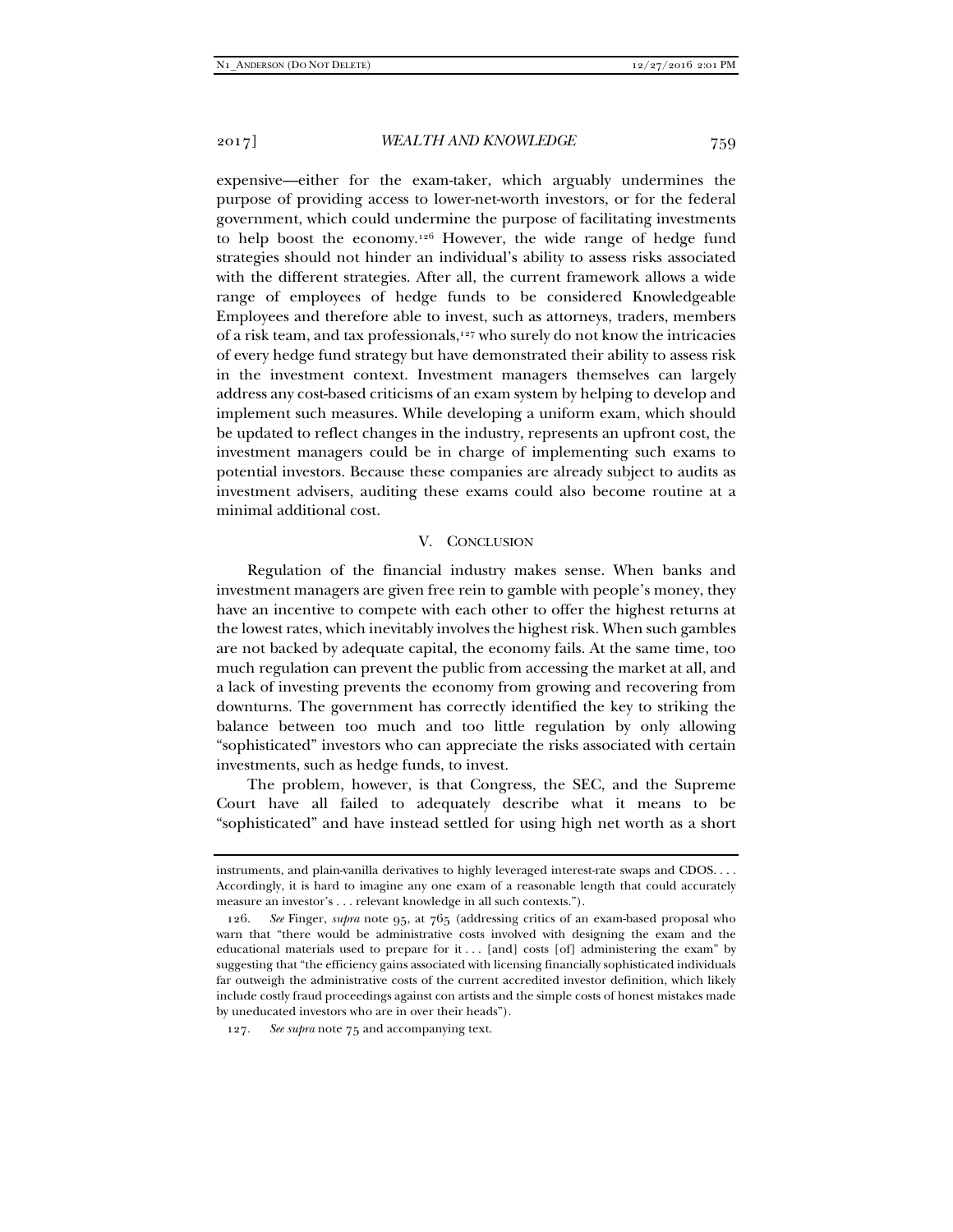expensive—either for the exam-taker, which arguably undermines the purpose of providing access to lower-net-worth investors, or for the federal government, which could undermine the purpose of facilitating investments to help boost the economy.126 However, the wide range of hedge fund strategies should not hinder an individual's ability to assess risks associated with the different strategies. After all, the current framework allows a wide range of employees of hedge funds to be considered Knowledgeable Employees and therefore able to invest, such as attorneys, traders, members of a risk team, and tax professionals,127 who surely do not know the intricacies of every hedge fund strategy but have demonstrated their ability to assess risk in the investment context. Investment managers themselves can largely address any cost-based criticisms of an exam system by helping to develop and implement such measures. While developing a uniform exam, which should be updated to reflect changes in the industry, represents an upfront cost, the investment managers could be in charge of implementing such exams to potential investors. Because these companies are already subject to audits as investment advisers, auditing these exams could also become routine at a minimal additional cost.

# V. CONCLUSION

Regulation of the financial industry makes sense. When banks and investment managers are given free rein to gamble with people's money, they have an incentive to compete with each other to offer the highest returns at the lowest rates, which inevitably involves the highest risk. When such gambles are not backed by adequate capital, the economy fails. At the same time, too much regulation can prevent the public from accessing the market at all, and a lack of investing prevents the economy from growing and recovering from downturns. The government has correctly identified the key to striking the balance between too much and too little regulation by only allowing "sophisticated" investors who can appreciate the risks associated with certain investments, such as hedge funds, to invest.

The problem, however, is that Congress, the SEC, and the Supreme Court have all failed to adequately describe what it means to be "sophisticated" and have instead settled for using high net worth as a short

instruments, and plain-vanilla derivatives to highly leveraged interest-rate swaps and CDOS. . . . Accordingly, it is hard to imagine any one exam of a reasonable length that could accurately measure an investor's . . . relevant knowledge in all such contexts.").

 <sup>126.</sup> *See* Finger, *supra* note 95, at 765 (addressing critics of an exam-based proposal who warn that "there would be administrative costs involved with designing the exam and the educational materials used to prepare for it . . . [and] costs [of] administering the exam" by suggesting that "the efficiency gains associated with licensing financially sophisticated individuals far outweigh the administrative costs of the current accredited investor definition, which likely include costly fraud proceedings against con artists and the simple costs of honest mistakes made by uneducated investors who are in over their heads").

 <sup>127.</sup> *See supra* note 75 and accompanying text.